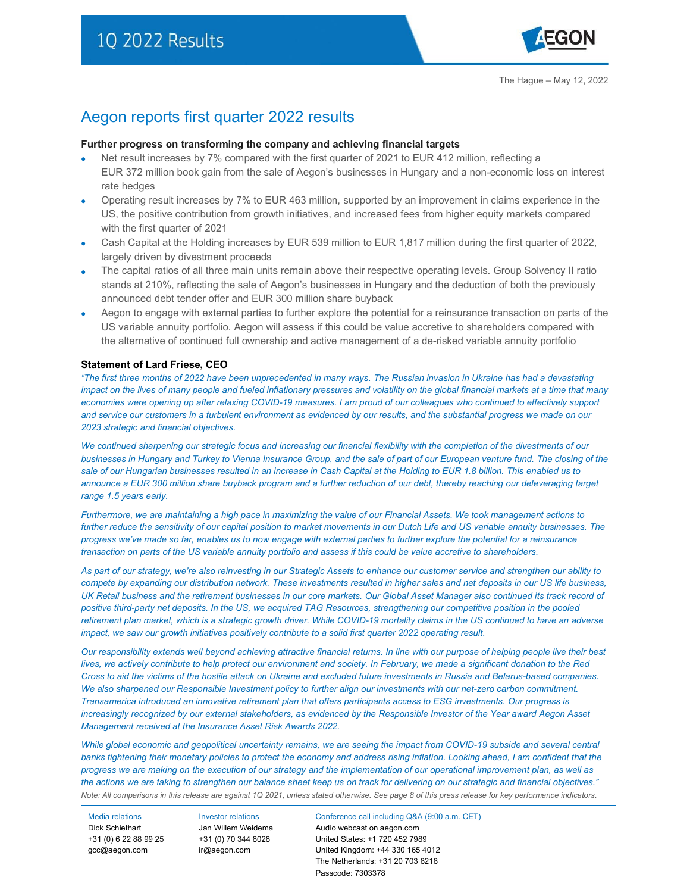

# Aegon reports first quarter 2022 results

#### **Further progress on transforming the company and achieving financial targets**

- Net result increases by 7% compared with the first quarter of 2021 to EUR 412 million, reflecting a EUR 372 million book gain from the sale of Aegon's businesses in Hungary and a non-economic loss on interest rate hedges
- Operating result increases by 7% to EUR 463 million, supported by an improvement in claims experience in the US, the positive contribution from growth initiatives, and increased fees from higher equity markets compared with the first quarter of 2021
- Cash Capital at the Holding increases by EUR 539 million to EUR 1,817 million during the first quarter of 2022, largely driven by divestment proceeds
- The capital ratios of all three main units remain above their respective operating levels. Group Solvency II ratio stands at 210%, reflecting the sale of Aegon's businesses in Hungary and the deduction of both the previously announced debt tender offer and EUR 300 million share buyback
- Aegon to engage with external parties to further explore the potential for a reinsurance transaction on parts of the US variable annuity portfolio. Aegon will assess if this could be value accretive to shareholders compared with the alternative of continued full ownership and active management of a de-risked variable annuity portfolio

#### **Statement of Lard Friese, CEO**

*"The first three months of 2022 have been unprecedented in many ways. The Russian invasion in Ukraine has had a devastating impact on the lives of many people and fueled inflationary pressures and volatility on the global financial markets at a time that many economies were opening up after relaxing COVID-19 measures. I am proud of our colleagues who continued to effectively support and service our customers in a turbulent environment as evidenced by our results, and the substantial progress we made on our 2023 strategic and financial objectives.*

We continued sharpening our strategic focus and increasing our financial flexibility with the completion of the divestments of our *businesses in Hungary and Turkey to Vienna Insurance Group, and the sale of part of our European venture fund. The closing of the sale of our Hungarian businesses resulted in an increase in Cash Capital at the Holding to EUR 1.8 billion. This enabled us to announce a EUR 300 million share buyback program and a further reduction of our debt, thereby reaching our deleveraging target range 1.5 years early.*

*Furthermore, we are maintaining a high pace in maximizing the value of our Financial Assets. We took management actions to further reduce the sensitivity of our capital position to market movements in our Dutch Life and US variable annuity businesses. The progress we've made so far, enables us to now engage with external parties to further explore the potential for a reinsurance transaction on parts of the US variable annuity portfolio and assess if this could be value accretive to shareholders.*

*As part of our strategy, we're also reinvesting in our Strategic Assets to enhance our customer service and strengthen our ability to compete by expanding our distribution network. These investments resulted in higher sales and net deposits in our US life business, UK Retail business and the retirement businesses in our core markets. Our Global Asset Manager also continued its track record of positive third-party net deposits. In the US, we acquired TAG Resources, strengthening our competitive position in the pooled retirement plan market, which is a strategic growth driver. While COVID-19 mortality claims in the US continued to have an adverse impact, we saw our growth initiatives positively contribute to a solid first quarter 2022 operating result.* 

*Our responsibility extends well beyond achieving attractive financial returns. In line with our purpose of helping people live their best lives, we actively contribute to help protect our environment and society. In February, we made a significant donation to the Red Cross to aid the victims of the hostile attack on Ukraine and excluded future investments in Russia and Belarus-based companies. We also sharpened our Responsible Investment policy to further align our investments with our net-zero carbon commitment. Transamerica introduced an innovative retirement plan that offers participants access to ESG investments. Our progress is increasingly recognized by our external stakeholders, as evidenced by the Responsible Investor of the Year award Aegon Asset Management received at the Insurance Asset Risk Awards 2022.*

*Note: All comparisons in this release are against 1Q 2021, unless stated otherwise. See page 8 of this press release for key performance indicators. While global economic and geopolitical uncertainty remains, we are seeing the impact from COVID-19 subside and several central banks tightening their monetary policies to protect the economy and address rising inflation. Looking ahead, I am confident that the progress we are making on the execution of our strategy and the implementation of our operational improvement plan, as well as the actions we are taking to strengthen our balance sheet keep us on track for delivering on our strategic and financial objectives."*

+31 (0) 6 22 88 99 25 [gcc@aegon.com](mailto:gcc@aegon.com)

+31 (0) 70 344 8028 [ir@aegon.com](mailto:ir@aegon.com)

Media relations Investor relations Conference call including Q&A (9:00 a.m. CET) Dick Schiethart Jan Willem Weidema Audio webcast on aegon.com United States: +1 720 452 7989 United Kingdom: +44 330 165 4012 The Netherlands: +31 20 703 8218 Passcode: 7303378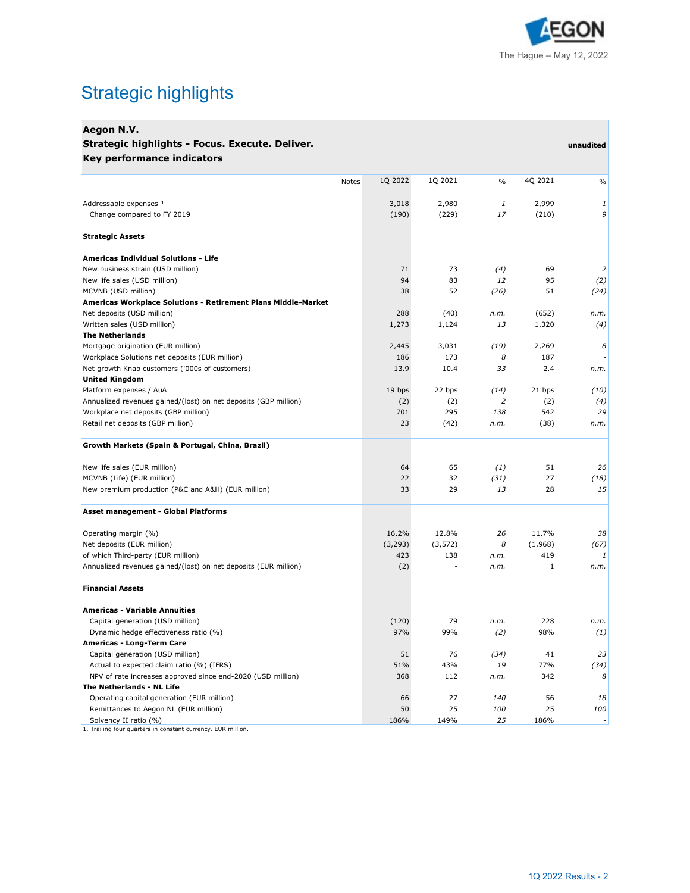

# Strategic highlights

 $\Box$ 

| Aegon N.V.                                                      |          |          |                |              |                |
|-----------------------------------------------------------------|----------|----------|----------------|--------------|----------------|
| Strategic highlights - Focus. Execute. Deliver.                 |          |          |                |              | unaudited      |
| Key performance indicators                                      |          |          |                |              |                |
|                                                                 |          |          |                |              |                |
| <b>Notes</b>                                                    | 1Q 2022  | 1Q 2021  | $\frac{0}{0}$  | 4Q 2021      | $\%$           |
| Addressable expenses 1                                          | 3,018    | 2,980    | 1              | 2,999        | 1              |
| Change compared to FY 2019                                      | (190)    | (229)    | 17             | (210)        | 9              |
|                                                                 |          |          |                |              |                |
| <b>Strategic Assets</b>                                         |          |          |                |              |                |
| <b>Americas Individual Solutions - Life</b>                     |          |          |                |              |                |
| New business strain (USD million)                               | 71       | 73       | (4)            | 69           | $\overline{2}$ |
| New life sales (USD million)                                    | 94       | 83       | 12             | 95           | (2)            |
| MCVNB (USD million)                                             | 38       | 52       | (26)           | 51           | (24)           |
| Americas Workplace Solutions - Retirement Plans Middle-Market   |          |          |                |              |                |
| Net deposits (USD million)                                      | 288      | (40)     | n.m.           | (652)        | n.m.           |
| Written sales (USD million)                                     | 1,273    | 1,124    | 13             | 1,320        | (4)            |
| <b>The Netherlands</b>                                          |          |          |                |              |                |
| Mortgage origination (EUR million)                              | 2,445    | 3,031    | (19)           | 2,269        | 8              |
| Workplace Solutions net deposits (EUR million)                  | 186      | 173      | 8              | 187          |                |
| Net growth Knab customers ('000s of customers)                  | 13.9     | 10.4     | 33             | 2.4          | n.m.           |
| <b>United Kingdom</b>                                           |          |          |                |              |                |
| Platform expenses / AuA                                         | 19 bps   | 22 bps   | (14)           | 21 bps       | (10)           |
| Annualized revenues gained/(lost) on net deposits (GBP million) | (2)      | (2)      | $\overline{c}$ | (2)          | (4)            |
| Workplace net deposits (GBP million)                            | 701      | 295      | 138            | 542          | 29             |
| Retail net deposits (GBP million)                               | 23       | (42)     | n.m.           | (38)         | n.m.           |
| Growth Markets (Spain & Portugal, China, Brazil)                |          |          |                |              |                |
| New life sales (EUR million)                                    | 64       | 65       | (1)            | 51           | 26             |
| MCVNB (Life) (EUR million)                                      | 22       | 32       | (31)           | 27           | (18)           |
| New premium production (P&C and A&H) (EUR million)              | 33       | 29       | 13             | 28           | 15             |
| Asset management - Global Platforms                             |          |          |                |              |                |
|                                                                 |          |          |                |              |                |
| Operating margin (%)                                            | 16.2%    | 12.8%    | 26             | 11.7%        | 38             |
| Net deposits (EUR million)                                      | (3, 293) | (3, 572) | 8              | (1,968)      | (67)           |
| of which Third-party (EUR million)                              | 423      | 138      | n.m.           | 419          | 1              |
| Annualized revenues gained/(lost) on net deposits (EUR million) | (2)      |          | n.m.           | $\mathbf{1}$ | n.m.           |
| <b>Financial Assets</b>                                         |          |          |                |              |                |
| <b>Americas - Variable Annuities</b>                            |          |          |                |              |                |
| Capital generation (USD million)                                | (120)    | 79       | n.m.           | 228          | n.m.           |
| Dynamic hedge effectiveness ratio (%)                           | 97%      | 99%      | (2)            | 98%          | (1)            |
| Americas - Long-Term Care                                       |          |          |                |              |                |
| Capital generation (USD million)                                | 51       | 76       | (34)           | 41           | 23             |
| Actual to expected claim ratio (%) (IFRS)                       | 51%      | 43%      | 19             | 77%          | (34)           |
| NPV of rate increases approved since end-2020 (USD million)     | 368      | 112      | n.m.           | 342          | 8              |
| The Netherlands - NL Life                                       |          |          |                |              |                |
| Operating capital generation (EUR million)                      | 66       | 27       | 140            | 56           | 18             |
| Remittances to Aegon NL (EUR million)                           | 50       | 25       | 100            | 25           | 100            |
|                                                                 |          |          |                |              |                |

Solvency II ratio (%) 186% 149% *25* 186% *-* 1. Trailing four quarters in constant currency. EUR million.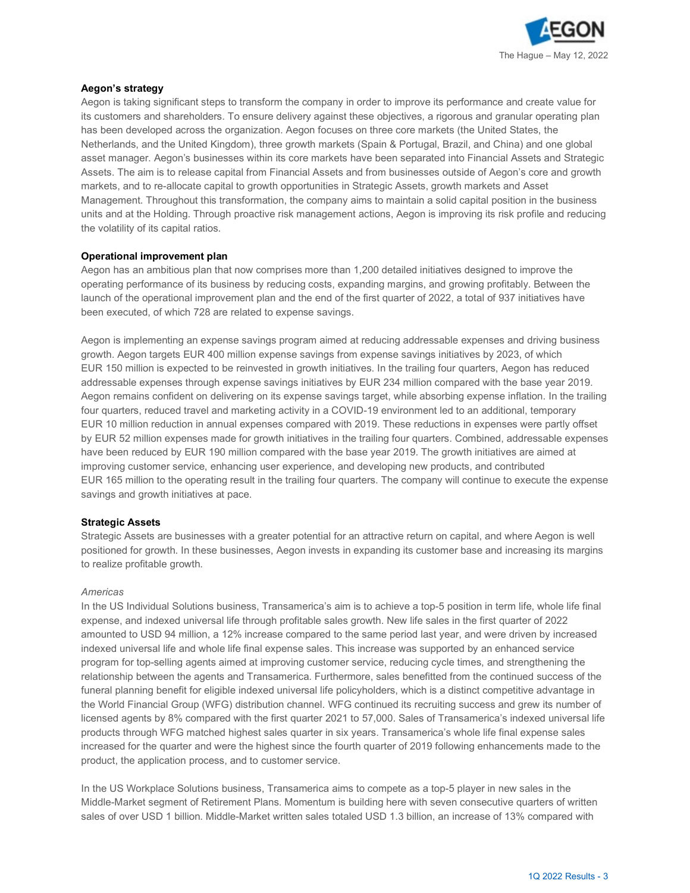

### **Aegon's strategy**

Aegon is taking significant steps to transform the company in order to improve its performance and create value for its customers and shareholders. To ensure delivery against these objectives, a rigorous and granular operating plan has been developed across the organization. Aegon focuses on three core markets (the United States, the Netherlands, and the United Kingdom), three growth markets (Spain & Portugal, Brazil, and China) and one global asset manager. Aegon's businesses within its core markets have been separated into Financial Assets and Strategic Assets. The aim is to release capital from Financial Assets and from businesses outside of Aegon's core and growth markets, and to re-allocate capital to growth opportunities in Strategic Assets, growth markets and Asset Management. Throughout this transformation, the company aims to maintain a solid capital position in the business units and at the Holding. Through proactive risk management actions, Aegon is improving its risk profile and reducing the volatility of its capital ratios.

# **Operational improvement plan**

Aegon has an ambitious plan that now comprises more than 1,200 detailed initiatives designed to improve the operating performance of its business by reducing costs, expanding margins, and growing profitably. Between the launch of the operational improvement plan and the end of the first quarter of 2022, a total of 937 initiatives have been executed, of which 728 are related to expense savings.

Aegon is implementing an expense savings program aimed at reducing addressable expenses and driving business growth. Aegon targets EUR 400 million expense savings from expense savings initiatives by 2023, of which EUR 150 million is expected to be reinvested in growth initiatives. In the trailing four quarters, Aegon has reduced addressable expenses through expense savings initiatives by EUR 234 million compared with the base year 2019. Aegon remains confident on delivering on its expense savings target, while absorbing expense inflation. In the trailing four quarters, reduced travel and marketing activity in a COVID-19 environment led to an additional, temporary EUR 10 million reduction in annual expenses compared with 2019. These reductions in expenses were partly offset by EUR 52 million expenses made for growth initiatives in the trailing four quarters. Combined, addressable expenses have been reduced by EUR 190 million compared with the base year 2019. The growth initiatives are aimed at improving customer service, enhancing user experience, and developing new products, and contributed EUR 165 million to the operating result in the trailing four quarters. The company will continue to execute the expense savings and growth initiatives at pace.

### **Strategic Assets**

Strategic Assets are businesses with a greater potential for an attractive return on capital, and where Aegon is well positioned for growth. In these businesses, Aegon invests in expanding its customer base and increasing its margins to realize profitable growth.

### *Americas*

In the US Individual Solutions business, Transamerica's aim is to achieve a top-5 position in term life, whole life final expense, and indexed universal life through profitable sales growth. New life sales in the first quarter of 2022 amounted to USD 94 million, a 12% increase compared to the same period last year, and were driven by increased indexed universal life and whole life final expense sales. This increase was supported by an enhanced service program for top-selling agents aimed at improving customer service, reducing cycle times, and strengthening the relationship between the agents and Transamerica. Furthermore, sales benefitted from the continued success of the funeral planning benefit for eligible indexed universal life policyholders, which is a distinct competitive advantage in the World Financial Group (WFG) distribution channel. WFG continued its recruiting success and grew its number of licensed agents by 8% compared with the first quarter 2021 to 57,000. Sales of Transamerica's indexed universal life products through WFG matched highest sales quarter in six years. Transamerica's whole life final expense sales increased for the quarter and were the highest since the fourth quarter of 2019 following enhancements made to the product, the application process, and to customer service.

In the US Workplace Solutions business, Transamerica aims to compete as a top-5 player in new sales in the Middle-Market segment of Retirement Plans. Momentum is building here with seven consecutive quarters of written sales of over USD 1 billion. Middle-Market written sales totaled USD 1.3 billion, an increase of 13% compared with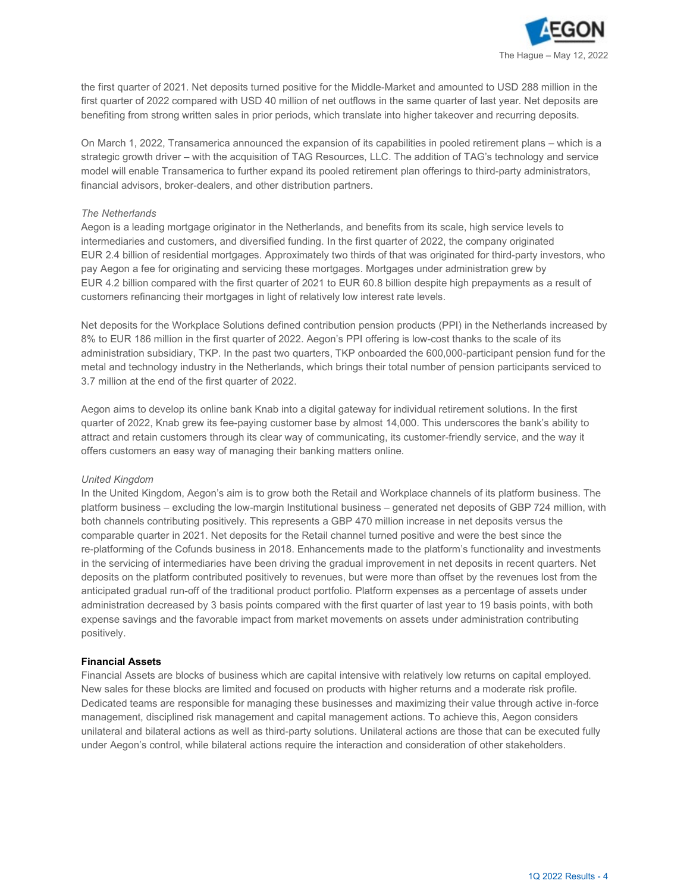

the first quarter of 2021. Net deposits turned positive for the Middle-Market and amounted to USD 288 million in the first quarter of 2022 compared with USD 40 million of net outflows in the same quarter of last year. Net deposits are benefiting from strong written sales in prior periods, which translate into higher takeover and recurring deposits.

On March 1, 2022, Transamerica announced the expansion of its capabilities in pooled retirement plans – which is a strategic growth driver – with the acquisition of TAG Resources, LLC. The addition of TAG's technology and service model will enable Transamerica to further expand its pooled retirement plan offerings to third-party administrators, financial advisors, broker-dealers, and other distribution partners.

# *The Netherlands*

Aegon is a leading mortgage originator in the Netherlands, and benefits from its scale, high service levels to intermediaries and customers, and diversified funding. In the first quarter of 2022, the company originated EUR 2.4 billion of residential mortgages. Approximately two thirds of that was originated for third-party investors, who pay Aegon a fee for originating and servicing these mortgages. Mortgages under administration grew by EUR 4.2 billion compared with the first quarter of 2021 to EUR 60.8 billion despite high prepayments as a result of customers refinancing their mortgages in light of relatively low interest rate levels.

Net deposits for the Workplace Solutions defined contribution pension products (PPI) in the Netherlands increased by 8% to EUR 186 million in the first quarter of 2022. Aegon's PPI offering is low-cost thanks to the scale of its administration subsidiary, TKP. In the past two quarters, TKP onboarded the 600,000-participant pension fund for the metal and technology industry in the Netherlands, which brings their total number of pension participants serviced to 3.7 million at the end of the first quarter of 2022.

Aegon aims to develop its online bank Knab into a digital gateway for individual retirement solutions. In the first quarter of 2022, Knab grew its fee-paying customer base by almost 14,000. This underscores the bank's ability to attract and retain customers through its clear way of communicating, its customer-friendly service, and the way it offers customers an easy way of managing their banking matters online.

### *United Kingdom*

In the United Kingdom, Aegon's aim is to grow both the Retail and Workplace channels of its platform business. The platform business – excluding the low-margin Institutional business – generated net deposits of GBP 724 million, with both channels contributing positively. This represents a GBP 470 million increase in net deposits versus the comparable quarter in 2021. Net deposits for the Retail channel turned positive and were the best since the re-platforming of the Cofunds business in 2018. Enhancements made to the platform's functionality and investments in the servicing of intermediaries have been driving the gradual improvement in net deposits in recent quarters. Net deposits on the platform contributed positively to revenues, but were more than offset by the revenues lost from the anticipated gradual run-off of the traditional product portfolio. Platform expenses as a percentage of assets under administration decreased by 3 basis points compared with the first quarter of last year to 19 basis points, with both expense savings and the favorable impact from market movements on assets under administration contributing positively.

### **Financial Assets**

Financial Assets are blocks of business which are capital intensive with relatively low returns on capital employed. New sales for these blocks are limited and focused on products with higher returns and a moderate risk profile. Dedicated teams are responsible for managing these businesses and maximizing their value through active in-force management, disciplined risk management and capital management actions. To achieve this, Aegon considers unilateral and bilateral actions as well as third-party solutions. Unilateral actions are those that can be executed fully under Aegon's control, while bilateral actions require the interaction and consideration of other stakeholders.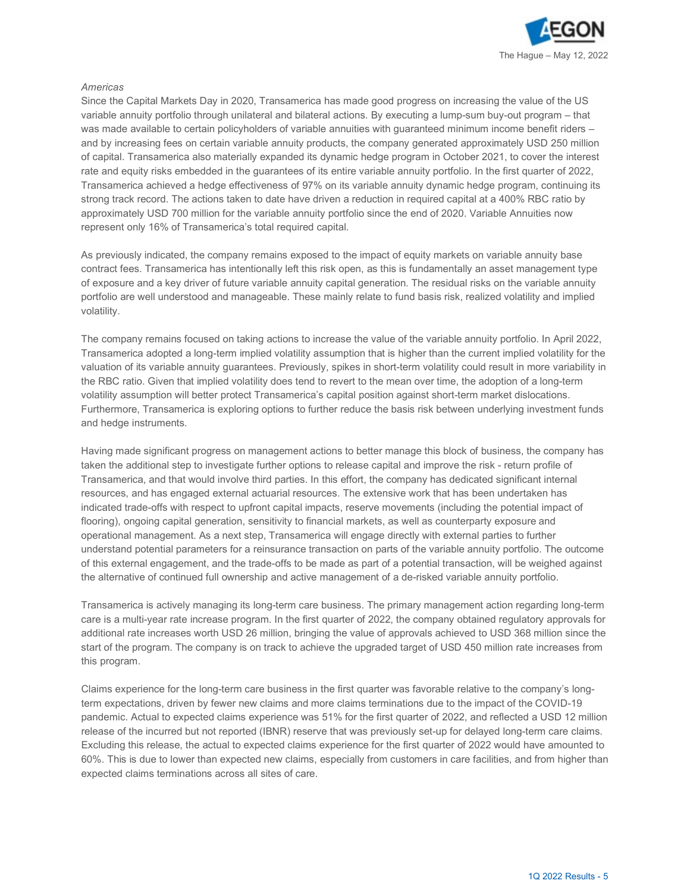

### *Americas*

Since the Capital Markets Day in 2020, Transamerica has made good progress on increasing the value of the US variable annuity portfolio through unilateral and bilateral actions. By executing a lump-sum buy-out program – that was made available to certain policyholders of variable annuities with guaranteed minimum income benefit riders and by increasing fees on certain variable annuity products, the company generated approximately USD 250 million of capital. Transamerica also materially expanded its dynamic hedge program in October 2021, to cover the interest rate and equity risks embedded in the guarantees of its entire variable annuity portfolio. In the first quarter of 2022, Transamerica achieved a hedge effectiveness of 97% on its variable annuity dynamic hedge program, continuing its strong track record. The actions taken to date have driven a reduction in required capital at a 400% RBC ratio by approximately USD 700 million for the variable annuity portfolio since the end of 2020. Variable Annuities now represent only 16% of Transamerica's total required capital.

As previously indicated, the company remains exposed to the impact of equity markets on variable annuity base contract fees. Transamerica has intentionally left this risk open, as this is fundamentally an asset management type of exposure and a key driver of future variable annuity capital generation. The residual risks on the variable annuity portfolio are well understood and manageable. These mainly relate to fund basis risk, realized volatility and implied volatility.

The company remains focused on taking actions to increase the value of the variable annuity portfolio. In April 2022, Transamerica adopted a long-term implied volatility assumption that is higher than the current implied volatility for the valuation of its variable annuity guarantees. Previously, spikes in short-term volatility could result in more variability in the RBC ratio. Given that implied volatility does tend to revert to the mean over time, the adoption of a long-term volatility assumption will better protect Transamerica's capital position against short-term market dislocations. Furthermore, Transamerica is exploring options to further reduce the basis risk between underlying investment funds and hedge instruments.

Having made significant progress on management actions to better manage this block of business, the company has taken the additional step to investigate further options to release capital and improve the risk - return profile of Transamerica, and that would involve third parties. In this effort, the company has dedicated significant internal resources, and has engaged external actuarial resources. The extensive work that has been undertaken has indicated trade-offs with respect to upfront capital impacts, reserve movements (including the potential impact of flooring), ongoing capital generation, sensitivity to financial markets, as well as counterparty exposure and operational management. As a next step, Transamerica will engage directly with external parties to further understand potential parameters for a reinsurance transaction on parts of the variable annuity portfolio. The outcome of this external engagement, and the trade-offs to be made as part of a potential transaction, will be weighed against the alternative of continued full ownership and active management of a de-risked variable annuity portfolio.

Transamerica is actively managing its long-term care business. The primary management action regarding long-term care is a multi-year rate increase program. In the first quarter of 2022, the company obtained regulatory approvals for additional rate increases worth USD 26 million, bringing the value of approvals achieved to USD 368 million since the start of the program. The company is on track to achieve the upgraded target of USD 450 million rate increases from this program.

Claims experience for the long-term care business in the first quarter was favorable relative to the company's longterm expectations, driven by fewer new claims and more claims terminations due to the impact of the COVID-19 pandemic. Actual to expected claims experience was 51% for the first quarter of 2022, and reflected a USD 12 million release of the incurred but not reported (IBNR) reserve that was previously set-up for delayed long-term care claims. Excluding this release, the actual to expected claims experience for the first quarter of 2022 would have amounted to 60%. This is due to lower than expected new claims, especially from customers in care facilities, and from higher than expected claims terminations across all sites of care.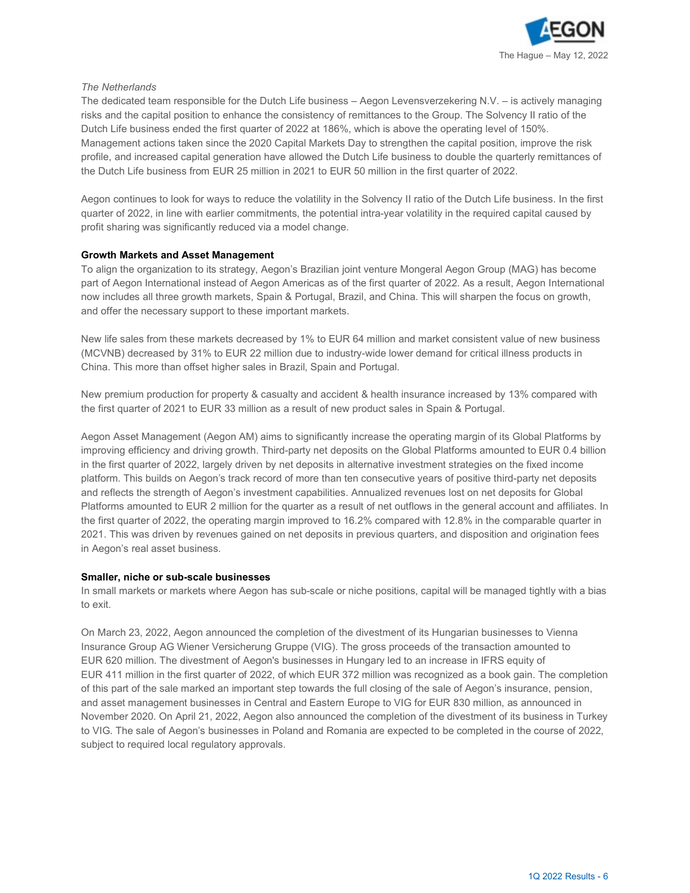

# *The Netherlands*

The dedicated team responsible for the Dutch Life business – Aegon Levensverzekering N.V. – is actively managing risks and the capital position to enhance the consistency of remittances to the Group. The Solvency II ratio of the Dutch Life business ended the first quarter of 2022 at 186%, which is above the operating level of 150%. Management actions taken since the 2020 Capital Markets Day to strengthen the capital position, improve the risk profile, and increased capital generation have allowed the Dutch Life business to double the quarterly remittances of the Dutch Life business from EUR 25 million in 2021 to EUR 50 million in the first quarter of 2022.

Aegon continues to look for ways to reduce the volatility in the Solvency II ratio of the Dutch Life business. In the first quarter of 2022, in line with earlier commitments, the potential intra-year volatility in the required capital caused by profit sharing was significantly reduced via a model change.

# **Growth Markets and Asset Management**

To align the organization to its strategy, Aegon's Brazilian joint venture Mongeral Aegon Group (MAG) has become part of Aegon International instead of Aegon Americas as of the first quarter of 2022. As a result, Aegon International now includes all three growth markets, Spain & Portugal, Brazil, and China. This will sharpen the focus on growth, and offer the necessary support to these important markets.

New life sales from these markets decreased by 1% to EUR 64 million and market consistent value of new business (MCVNB) decreased by 31% to EUR 22 million due to industry-wide lower demand for critical illness products in China. This more than offset higher sales in Brazil, Spain and Portugal.

New premium production for property & casualty and accident & health insurance increased by 13% compared with the first quarter of 2021 to EUR 33 million as a result of new product sales in Spain & Portugal.

Aegon Asset Management (Aegon AM) aims to significantly increase the operating margin of its Global Platforms by improving efficiency and driving growth. Third-party net deposits on the Global Platforms amounted to EUR 0.4 billion in the first quarter of 2022, largely driven by net deposits in alternative investment strategies on the fixed income platform. This builds on Aegon's track record of more than ten consecutive years of positive third-party net deposits and reflects the strength of Aegon's investment capabilities. Annualized revenues lost on net deposits for Global Platforms amounted to EUR 2 million for the quarter as a result of net outflows in the general account and affiliates. In the first quarter of 2022, the operating margin improved to 16.2% compared with 12.8% in the comparable quarter in 2021. This was driven by revenues gained on net deposits in previous quarters, and disposition and origination fees in Aegon's real asset business.

### **Smaller, niche or sub-scale businesses**

In small markets or markets where Aegon has sub-scale or niche positions, capital will be managed tightly with a bias to exit.

On March 23, 2022, Aegon announced the completion of the divestment of its Hungarian businesses to Vienna Insurance Group AG Wiener Versicherung Gruppe (VIG). The gross proceeds of the transaction amounted to EUR 620 million. The divestment of Aegon's businesses in Hungary led to an increase in IFRS equity of EUR 411 million in the first quarter of 2022, of which EUR 372 million was recognized as a book gain. The completion of this part of the sale marked an important step towards the full closing of the sale of Aegon's insurance, pension, and asset management businesses in Central and Eastern Europe to VIG for EUR 830 million, as announced in November 2020. On April 21, 2022, Aegon also announced the completion of the divestment of its business in Turkey to VIG. The sale of Aegon's businesses in Poland and Romania are expected to be completed in the course of 2022, subject to required local regulatory approvals.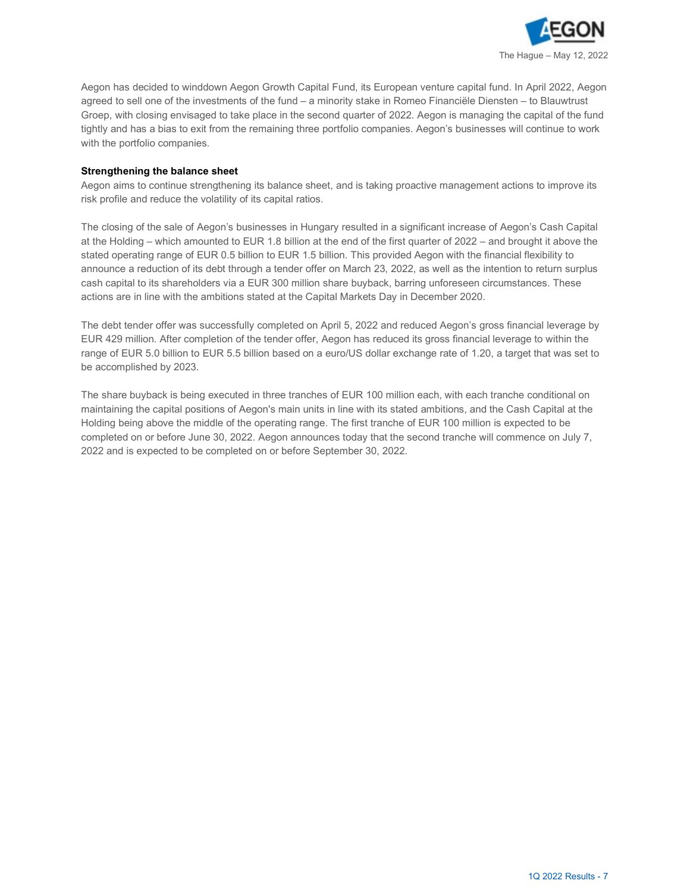

Aegon has decided to winddown Aegon Growth Capital Fund, its European venture capital fund. In April 2022, Aegon agreed to sell one of the investments of the fund – a minority stake in Romeo Financiële Diensten – to Blauwtrust Groep, with closing envisaged to take place in the second quarter of 2022. Aegon is managing the capital of the fund tightly and has a bias to exit from the remaining three portfolio companies. Aegon's businesses will continue to work with the portfolio companies.

# **Strengthening the balance sheet**

Aegon aims to continue strengthening its balance sheet, and is taking proactive management actions to improve its risk profile and reduce the volatility of its capital ratios.

The closing of the sale of Aegon's businesses in Hungary resulted in a significant increase of Aegon's Cash Capital at the Holding – which amounted to EUR 1.8 billion at the end of the first quarter of 2022 – and brought it above the stated operating range of EUR 0.5 billion to EUR 1.5 billion. This provided Aegon with the financial flexibility to announce a reduction of its debt through a tender offer on March 23, 2022, as well as the intention to return surplus cash capital to its shareholders via a EUR 300 million share buyback, barring unforeseen circumstances. These actions are in line with the ambitions stated at the Capital Markets Day in December 2020.

The debt tender offer was successfully completed on April 5, 2022 and reduced Aegon's gross financial leverage by EUR 429 million. After completion of the tender offer, Aegon has reduced its gross financial leverage to within the range of EUR 5.0 billion to EUR 5.5 billion based on a euro/US dollar exchange rate of 1.20, a target that was set to be accomplished by 2023.

The share buyback is being executed in three tranches of EUR 100 million each, with each tranche conditional on maintaining the capital positions of Aegon's main units in line with its stated ambitions, and the Cash Capital at the Holding being above the middle of the operating range. The first tranche of EUR 100 million is expected to be completed on or before June 30, 2022. Aegon announces today that the second tranche will commence on July 7, 2022 and is expected to be completed on or before September 30, 2022.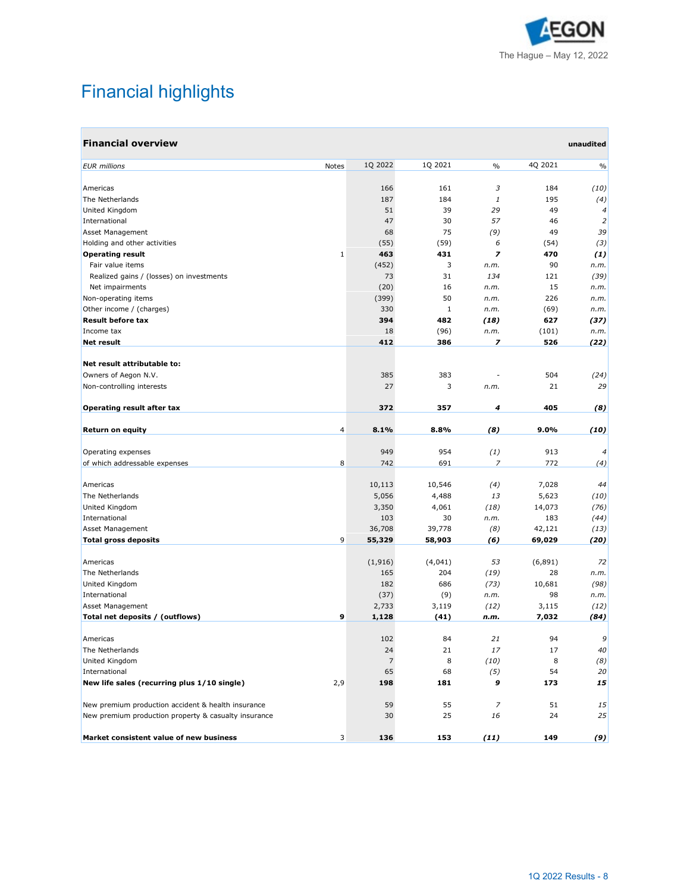

# Financial highlights

| <b>Financial overview</b>                            |              |                |              |                |         | unaudited      |
|------------------------------------------------------|--------------|----------------|--------------|----------------|---------|----------------|
| <b>EUR</b> millions                                  | Notes        | 1Q 2022        | 1Q 2021      | $\%$           | 4Q 2021 | $\frac{0}{0}$  |
| Americas                                             |              | 166            | 161          | 3              | 184     | (10)           |
| The Netherlands                                      |              | 187            | 184          | 1              | 195     | (4)            |
| United Kingdom                                       |              | 51             | 39           | 29             | 49      | $\overline{a}$ |
| International                                        |              | 47             | 30           | 57             | 46      | $\overline{2}$ |
| Asset Management                                     |              | 68             | 75           | (9)            | 49      | 39             |
| Holding and other activities                         |              | (55)           | (59)         | 6              | (54)    | (3)            |
| <b>Operating result</b>                              | $\mathbf{1}$ | 463            | 431          | $\overline{z}$ | 470     | (1)            |
| Fair value items                                     |              | (452)          | 3            | n.m.           | 90      | n.m.           |
| Realized gains / (losses) on investments             |              | 73             | 31           | 134            | 121     | (39)           |
| Net impairments                                      |              | (20)           | 16           | n.m.           | 15      | n.m.           |
| Non-operating items                                  |              | (399)          | 50           | n.m.           | 226     | n.m.           |
| Other income / (charges)                             |              | 330            | $\mathbf{1}$ | n.m.           | (69)    | n.m.           |
| <b>Result before tax</b>                             |              | 394            | 482          | (18)           | 627     | (37)           |
| Income tax                                           |              | 18             | (96)         | n.m.           | (101)   | n.m.           |
| <b>Net result</b>                                    |              | 412            | 386          | 7              | 526     | (22)           |
| Net result attributable to:                          |              |                |              |                |         |                |
| Owners of Aegon N.V.                                 |              | 385            | 383          |                | 504     | (24)           |
| Non-controlling interests                            |              | 27             | 3            | n.m.           | 21      | 29             |
| Operating result after tax                           |              | 372            | 357          | 4              | 405     | (8)            |
| Return on equity                                     | 4            | 8.1%           | 8.8%         | (8)            | 9.0%    | (10)           |
| Operating expenses                                   |              | 949            | 954          | (1)            | 913     | 4              |
| of which addressable expenses                        | 8            | 742            | 691          | $\overline{z}$ | 772     | (4)            |
| Americas                                             |              | 10,113         | 10,546       | (4)            | 7,028   | 44             |
| The Netherlands                                      |              | 5,056          | 4,488        | 13             | 5,623   | (10)           |
| United Kingdom                                       |              | 3,350          | 4,061        | (18)           | 14,073  | (76)           |
| International                                        |              | 103            | 30           | n.m.           | 183     | (44)           |
| Asset Management                                     |              | 36,708         | 39,778       | (8)            | 42,121  | (13)           |
| <b>Total gross deposits</b>                          | 9            | 55,329         | 58,903       | (6)            | 69,029  | (20)           |
| Americas                                             |              | (1, 916)       | (4,041)      | 53             | (6,891) | 72             |
| The Netherlands                                      |              | 165            | 204          | (19)           | 28      | n.m.           |
| <b>United Kingdom</b>                                |              | 182            | 686          | (73)           | 10,681  | (98)           |
| International                                        |              | (37)           | (9)          | n.m.           | 98      | n.m.           |
| Asset Management                                     |              | 2,733          | 3,119        | (12)           | 3,115   | (12)           |
| Total net deposits / (outflows)                      | 9            | 1,128          | (41)         | n.m.           | 7,032   | (84)           |
| Americas                                             |              | 102            | 84           | 21             | 94      | 9              |
| The Netherlands                                      |              | 24             | 21           | 17             | 17      | 40             |
| United Kingdom                                       |              | $\overline{7}$ | 8            | (10)           | 8       | (8)            |
| International                                        |              | 65             | 68           | (5)            | 54      | 20             |
| New life sales (recurring plus 1/10 single)          | 2,9          | 198            | 181          | 9              | 173     | 15             |
| New premium production accident & health insurance   |              | 59             | 55           | 7              | 51      | 15             |
| New premium production property & casualty insurance |              | 30             | 25           | 16             | 24      | 25             |
| Market consistent value of new business              | 3            | 136            | 153          | (11)           | 149     | (9)            |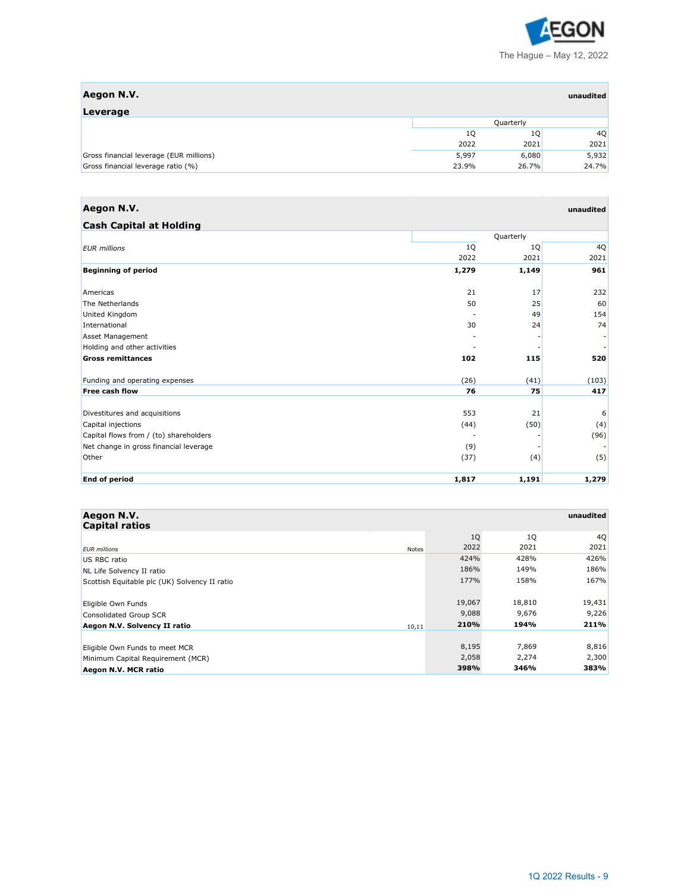

| Aegon N.V.<br>Leverage                  |       |       | unaudited |
|-----------------------------------------|-------|-------|-----------|
|                                         |       |       |           |
|                                         | 1Q    | 1Q    | 4Q        |
|                                         | 2022  | 2021  | 2021      |
| Gross financial leverage (EUR millions) | 5,997 | 6,080 | 5,932     |
| Gross financial leverage ratio (%)      | 23.9% | 26.7% | 24.7%     |

# **Aegon N.V. unaudited**

| <b>Cash Capital at Holding</b>         |           |       |       |  |  |  |
|----------------------------------------|-----------|-------|-------|--|--|--|
|                                        | Quarterly |       |       |  |  |  |
| <b>EUR</b> millions                    | 1Q        | 1Q    | 4Q    |  |  |  |
|                                        | 2022      | 2021  | 2021  |  |  |  |
| <b>Beginning of period</b>             | 1,279     | 1,149 | 961   |  |  |  |
| Americas                               | 21        | 17    | 232   |  |  |  |
| The Netherlands                        | 50        | 25    | 60    |  |  |  |
| United Kingdom                         |           | 49    | 154   |  |  |  |
| International                          | 30        | 24    | 74    |  |  |  |
| Asset Management                       |           |       |       |  |  |  |
| Holding and other activities           |           |       |       |  |  |  |
| <b>Gross remittances</b>               | 102       | 115   | 520   |  |  |  |
| Funding and operating expenses         | (26)      | (41)  | (103) |  |  |  |
| <b>Free cash flow</b>                  | 76        | 75    | 417   |  |  |  |
| Divestitures and acquisitions          | 553       | 21    | 6     |  |  |  |
| Capital injections                     | (44)      | (50)  | (4)   |  |  |  |
| Capital flows from / (to) shareholders |           |       | (96)  |  |  |  |
| Net change in gross financial leverage | (9)       |       |       |  |  |  |
| Other                                  | (37)      | (4)   | (5)   |  |  |  |
| <b>End of period</b>                   | 1,817     | 1,191 | 1,279 |  |  |  |

| Aegon N.V.<br><b>Capital ratios</b>           |       |        |        | unaudited |
|-----------------------------------------------|-------|--------|--------|-----------|
|                                               |       | 1Q     | 1Q     | 40        |
| <b>EUR</b> millions                           | Notes | 2022   | 2021   | 2021      |
| US RBC ratio                                  |       | 424%   | 428%   | 426%      |
| NL Life Solvency II ratio                     |       | 186%   | 149%   | 186%      |
| Scottish Equitable plc (UK) Solvency II ratio |       | 177%   | 158%   | 167%      |
|                                               |       |        |        |           |
| Eligible Own Funds                            |       | 19,067 | 18,810 | 19,431    |
| Consolidated Group SCR                        |       | 9,088  | 9,676  | 9,226     |
| Aegon N.V. Solvency II ratio                  | 10,11 | 210%   | 194%   | 211%      |
|                                               |       |        |        |           |
| Eligible Own Funds to meet MCR                |       | 8,195  | 7,869  | 8,816     |
| Minimum Capital Requirement (MCR)             |       | 2,058  | 2,274  | 2,300     |
| Aegon N.V. MCR ratio                          |       | 398%   | 346%   | 383%      |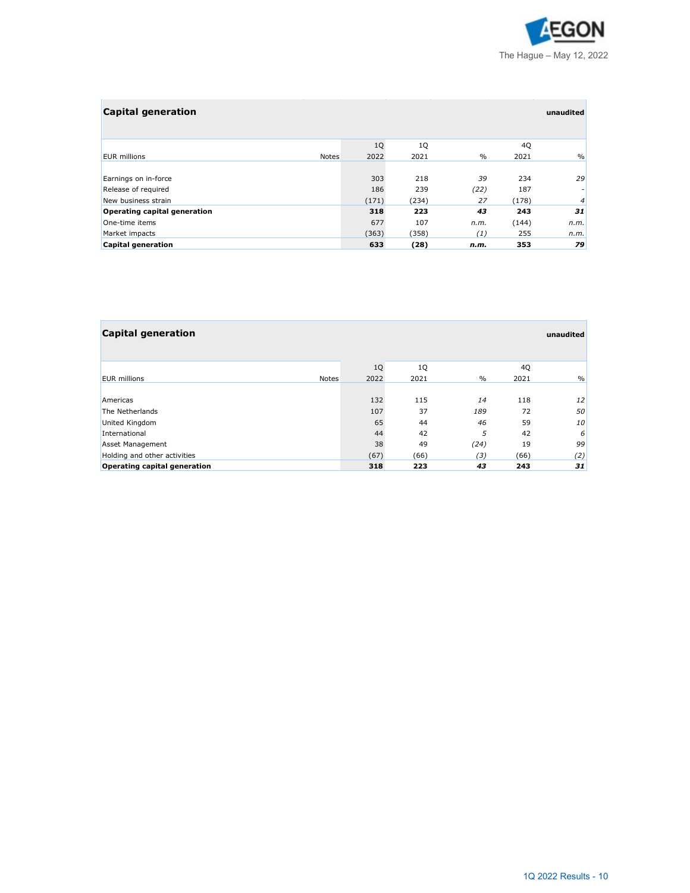

| <b>Capital generation</b>    |                      |       |      |       | unaudited      |
|------------------------------|----------------------|-------|------|-------|----------------|
|                              | 1Q                   | 1Q    |      | 4Q    |                |
| <b>EUR</b> millions          | 2022<br><b>Notes</b> | 2021  | $\%$ | 2021  | $\%$           |
|                              |                      |       |      |       |                |
| Earnings on in-force         | 303                  | 218   | 39   | 234   | 29             |
| Release of required          | 186                  | 239   | (22) | 187   |                |
| New business strain          | (171)                | (234) | 27   | (178) | $\overline{4}$ |
| Operating capital generation | 318                  | 223   | 43   | 243   | 31             |
| One-time items               | 677                  | 107   | n.m. | (144) | n.m.           |
| Market impacts               | (363)                | (358) | (1)  | 255   | n.m.           |
| Capital generation           | 633                  | (28)  | n.m. | 353   | 79             |

| <b>Capital generation</b>    |       |      |      |      |      | unaudited |
|------------------------------|-------|------|------|------|------|-----------|
|                              |       | 1Q   | 1Q   |      | 4Q   |           |
| <b>EUR</b> millions          | Notes | 2022 | 2021 | $\%$ | 2021 | $\%$      |
|                              |       |      |      |      |      |           |
| Americas                     |       | 132  | 115  | 14   | 118  | 12        |
| The Netherlands              |       | 107  | 37   | 189  | 72   | 50        |
| United Kingdom               |       | 65   | 44   | 46   | 59   | 10        |
| International                |       | 44   | 42   | 5    | 42   | 6         |
| Asset Management             |       | 38   | 49   | (24) | 19   | 99        |
| Holding and other activities |       | (67) | (66) | (3)  | (66) | (2)       |
| Operating capital generation |       | 318  | 223  | 43   | 243  | 31        |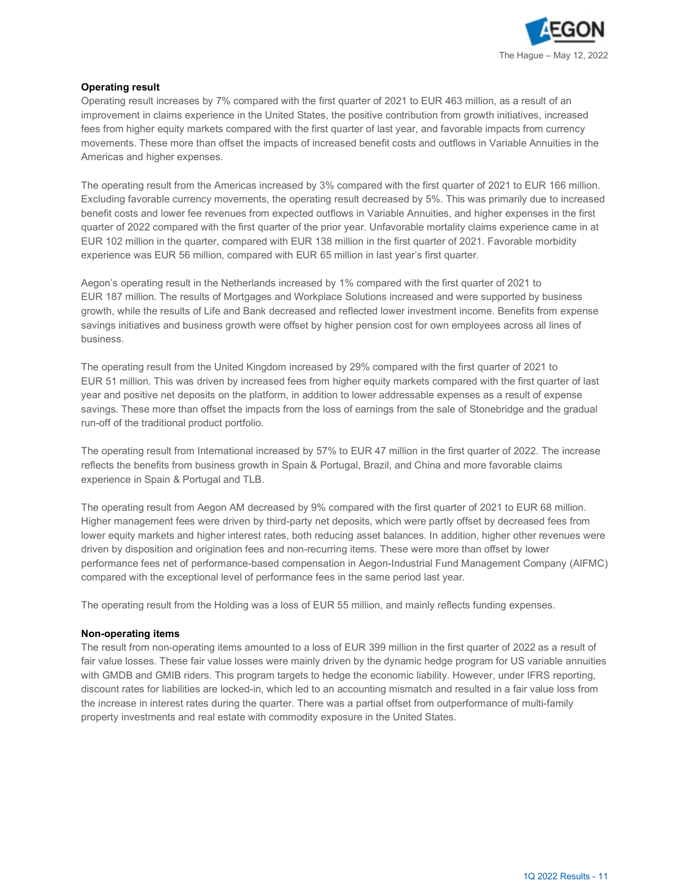

# **Operating result**

Operating result increases by 7% compared with the first quarter of 2021 to EUR 463 million, as a result of an improvement in claims experience in the United States, the positive contribution from growth initiatives, increased fees from higher equity markets compared with the first quarter of last year, and favorable impacts from currency movements. These more than offset the impacts of increased benefit costs and outflows in Variable Annuities in the Americas and higher expenses.

The operating result from the Americas increased by 3% compared with the first quarter of 2021 to EUR 166 million. Excluding favorable currency movements, the operating result decreased by 5%. This was primarily due to increased benefit costs and lower fee revenues from expected outflows in Variable Annuities, and higher expenses in the first quarter of 2022 compared with the first quarter of the prior year. Unfavorable mortality claims experience came in at EUR 102 million in the quarter, compared with EUR 138 million in the first quarter of 2021. Favorable morbidity experience was EUR 56 million, compared with EUR 65 million in last year's first quarter.

Aegon's operating result in the Netherlands increased by 1% compared with the first quarter of 2021 to EUR 187 million. The results of Mortgages and Workplace Solutions increased and were supported by business growth, while the results of Life and Bank decreased and reflected lower investment income. Benefits from expense savings initiatives and business growth were offset by higher pension cost for own employees across all lines of business.

The operating result from the United Kingdom increased by 29% compared with the first quarter of 2021 to EUR 51 million. This was driven by increased fees from higher equity markets compared with the first quarter of last year and positive net deposits on the platform, in addition to lower addressable expenses as a result of expense savings. These more than offset the impacts from the loss of earnings from the sale of Stonebridge and the gradual run-off of the traditional product portfolio.

The operating result from International increased by 57% to EUR 47 million in the first quarter of 2022. The increase reflects the benefits from business growth in Spain & Portugal, Brazil, and China and more favorable claims experience in Spain & Portugal and TLB.

The operating result from Aegon AM decreased by 9% compared with the first quarter of 2021 to EUR 68 million. Higher management fees were driven by third-party net deposits, which were partly offset by decreased fees from lower equity markets and higher interest rates, both reducing asset balances. In addition, higher other revenues were driven by disposition and origination fees and non-recurring items. These were more than offset by lower performance fees net of performance-based compensation in Aegon-Industrial Fund Management Company (AIFMC) compared with the exceptional level of performance fees in the same period last year.

The operating result from the Holding was a loss of EUR 55 million, and mainly reflects funding expenses.

# **Non-operating items**

The result from non-operating items amounted to a loss of EUR 399 million in the first quarter of 2022 as a result of fair value losses. These fair value losses were mainly driven by the dynamic hedge program for US variable annuities with GMDB and GMIB riders. This program targets to hedge the economic liability. However, under IFRS reporting, discount rates for liabilities are locked-in, which led to an accounting mismatch and resulted in a fair value loss from the increase in interest rates during the quarter. There was a partial offset from outperformance of multi-family property investments and real estate with commodity exposure in the United States.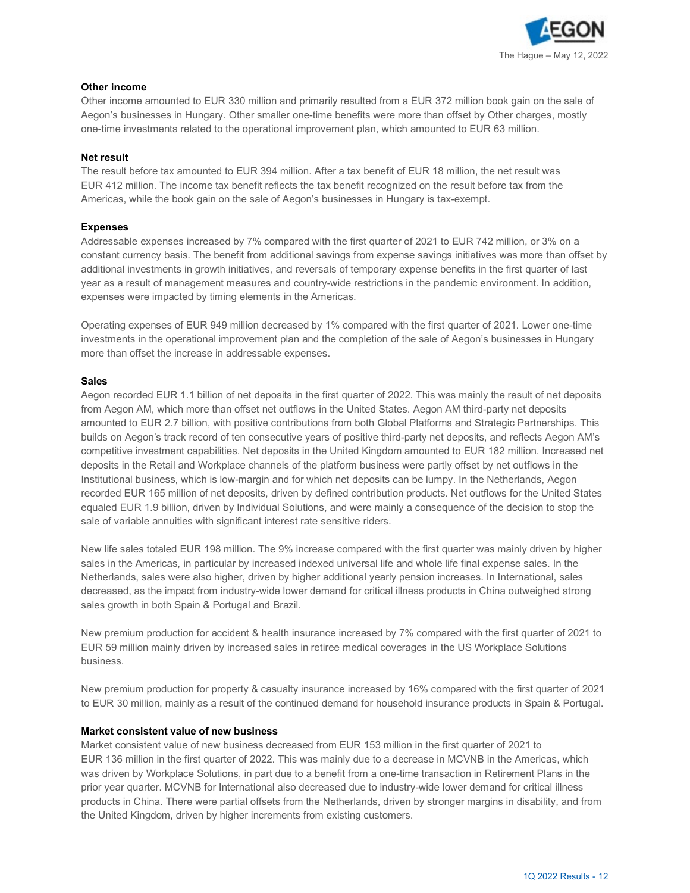

# **Other income**

Other income amounted to EUR 330 million and primarily resulted from a EUR 372 million book gain on the sale of Aegon's businesses in Hungary. Other smaller one-time benefits were more than offset by Other charges, mostly one-time investments related to the operational improvement plan, which amounted to EUR 63 million.

### **Net result**

The result before tax amounted to EUR 394 million. After a tax benefit of EUR 18 million, the net result was EUR 412 million. The income tax benefit reflects the tax benefit recognized on the result before tax from the Americas, while the book gain on the sale of Aegon's businesses in Hungary is tax-exempt.

### **Expenses**

Addressable expenses increased by 7% compared with the first quarter of 2021 to EUR 742 million, or 3% on a constant currency basis. The benefit from additional savings from expense savings initiatives was more than offset by additional investments in growth initiatives, and reversals of temporary expense benefits in the first quarter of last year as a result of management measures and country-wide restrictions in the pandemic environment. In addition, expenses were impacted by timing elements in the Americas.

Operating expenses of EUR 949 million decreased by 1% compared with the first quarter of 2021. Lower one-time investments in the operational improvement plan and the completion of the sale of Aegon's businesses in Hungary more than offset the increase in addressable expenses.

# **Sales**

Aegon recorded EUR 1.1 billion of net deposits in the first quarter of 2022. This was mainly the result of net deposits from Aegon AM, which more than offset net outflows in the United States. Aegon AM third-party net deposits amounted to EUR 2.7 billion, with positive contributions from both Global Platforms and Strategic Partnerships. This builds on Aegon's track record of ten consecutive years of positive third-party net deposits, and reflects Aegon AM's competitive investment capabilities. Net deposits in the United Kingdom amounted to EUR 182 million. Increased net deposits in the Retail and Workplace channels of the platform business were partly offset by net outflows in the Institutional business, which is low-margin and for which net deposits can be lumpy. In the Netherlands, Aegon recorded EUR 165 million of net deposits, driven by defined contribution products. Net outflows for the United States equaled EUR 1.9 billion, driven by Individual Solutions, and were mainly a consequence of the decision to stop the sale of variable annuities with significant interest rate sensitive riders.

New life sales totaled EUR 198 million. The 9% increase compared with the first quarter was mainly driven by higher sales in the Americas, in particular by increased indexed universal life and whole life final expense sales. In the Netherlands, sales were also higher, driven by higher additional yearly pension increases. In International, sales decreased, as the impact from industry-wide lower demand for critical illness products in China outweighed strong sales growth in both Spain & Portugal and Brazil.

New premium production for accident & health insurance increased by 7% compared with the first quarter of 2021 to EUR 59 million mainly driven by increased sales in retiree medical coverages in the US Workplace Solutions business.

New premium production for property & casualty insurance increased by 16% compared with the first quarter of 2021 to EUR 30 million, mainly as a result of the continued demand for household insurance products in Spain & Portugal.

### **Market consistent value of new business**

Market consistent value of new business decreased from EUR 153 million in the first quarter of 2021 to EUR 136 million in the first quarter of 2022. This was mainly due to a decrease in MCVNB in the Americas, which was driven by Workplace Solutions, in part due to a benefit from a one-time transaction in Retirement Plans in the prior year quarter. MCVNB for International also decreased due to industry-wide lower demand for critical illness products in China. There were partial offsets from the Netherlands, driven by stronger margins in disability, and from the United Kingdom, driven by higher increments from existing customers.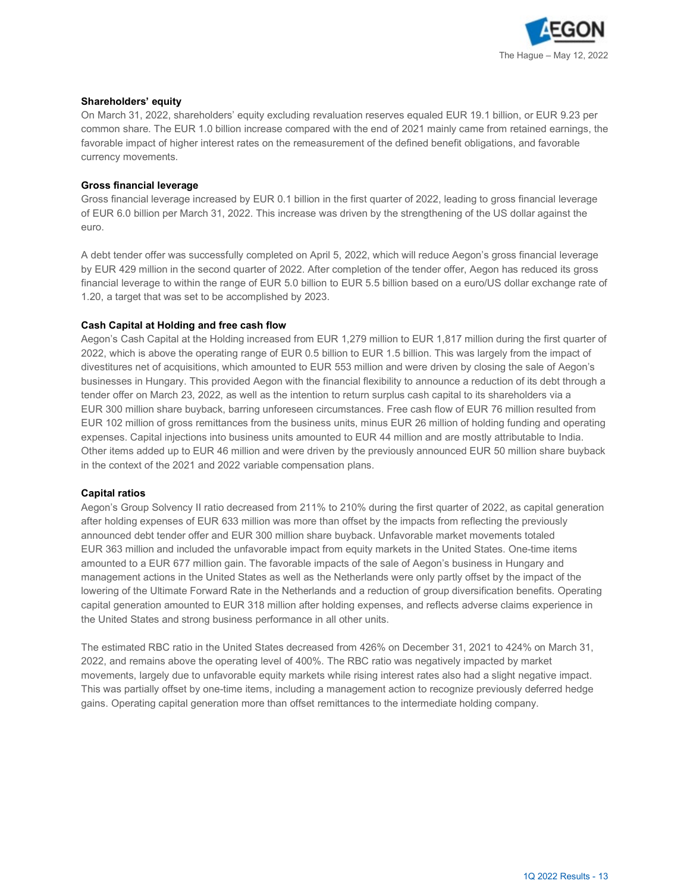

# **Shareholders' equity**

On March 31, 2022, shareholders' equity excluding revaluation reserves equaled EUR 19.1 billion, or EUR 9.23 per common share. The EUR 1.0 billion increase compared with the end of 2021 mainly came from retained earnings, the favorable impact of higher interest rates on the remeasurement of the defined benefit obligations, and favorable currency movements.

# **Gross financial leverage**

Gross financial leverage increased by EUR 0.1 billion in the first quarter of 2022, leading to gross financial leverage of EUR 6.0 billion per March 31, 2022. This increase was driven by the strengthening of the US dollar against the euro.

A debt tender offer was successfully completed on April 5, 2022, which will reduce Aegon's gross financial leverage by EUR 429 million in the second quarter of 2022. After completion of the tender offer, Aegon has reduced its gross financial leverage to within the range of EUR 5.0 billion to EUR 5.5 billion based on a euro/US dollar exchange rate of 1.20, a target that was set to be accomplished by 2023.

# **Cash Capital at Holding and free cash flow**

Aegon's Cash Capital at the Holding increased from EUR 1,279 million to EUR 1,817 million during the first quarter of 2022, which is above the operating range of EUR 0.5 billion to EUR 1.5 billion. This was largely from the impact of divestitures net of acquisitions, which amounted to EUR 553 million and were driven by closing the sale of Aegon's businesses in Hungary. This provided Aegon with the financial flexibility to announce a reduction of its debt through a tender offer on March 23, 2022, as well as the intention to return surplus cash capital to its shareholders via a EUR 300 million share buyback, barring unforeseen circumstances. Free cash flow of EUR 76 million resulted from EUR 102 million of gross remittances from the business units, minus EUR 26 million of holding funding and operating expenses. Capital injections into business units amounted to EUR 44 million and are mostly attributable to India. Other items added up to EUR 46 million and were driven by the previously announced EUR 50 million share buyback in the context of the 2021 and 2022 variable compensation plans.

### **Capital ratios**

Aegon's Group Solvency II ratio decreased from 211% to 210% during the first quarter of 2022, as capital generation after holding expenses of EUR 633 million was more than offset by the impacts from reflecting the previously announced debt tender offer and EUR 300 million share buyback. Unfavorable market movements totaled EUR 363 million and included the unfavorable impact from equity markets in the United States. One-time items amounted to a EUR 677 million gain. The favorable impacts of the sale of Aegon's business in Hungary and management actions in the United States as well as the Netherlands were only partly offset by the impact of the lowering of the Ultimate Forward Rate in the Netherlands and a reduction of group diversification benefits. Operating capital generation amounted to EUR 318 million after holding expenses, and reflects adverse claims experience in the United States and strong business performance in all other units.

The estimated RBC ratio in the United States decreased from 426% on December 31, 2021 to 424% on March 31, 2022, and remains above the operating level of 400%. The RBC ratio was negatively impacted by market movements, largely due to unfavorable equity markets while rising interest rates also had a slight negative impact. This was partially offset by one-time items, including a management action to recognize previously deferred hedge gains. Operating capital generation more than offset remittances to the intermediate holding company.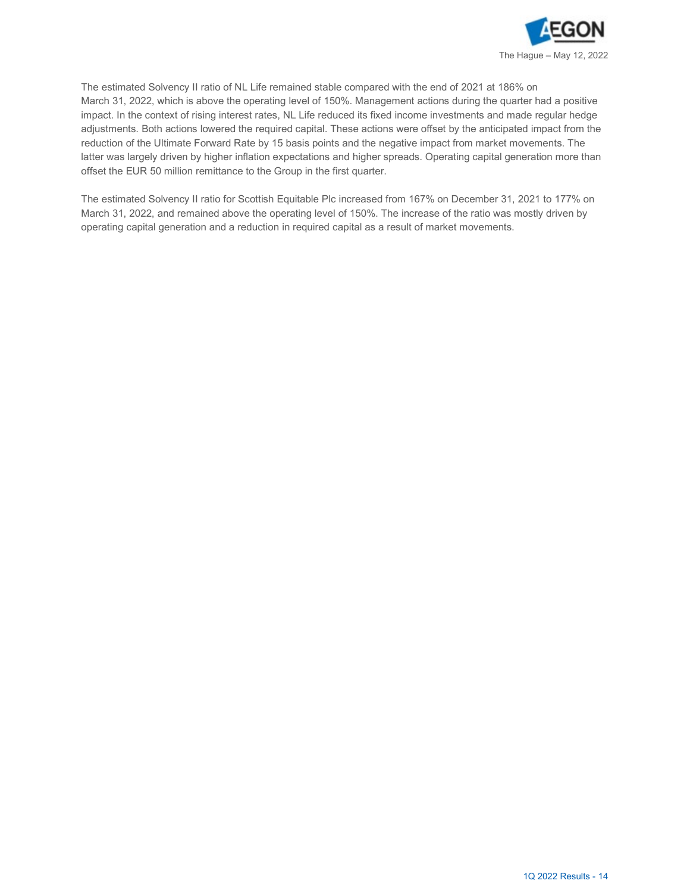

The estimated Solvency II ratio of NL Life remained stable compared with the end of 2021 at 186% on March 31, 2022, which is above the operating level of 150%. Management actions during the quarter had a positive impact. In the context of rising interest rates, NL Life reduced its fixed income investments and made regular hedge adjustments. Both actions lowered the required capital. These actions were offset by the anticipated impact from the reduction of the Ultimate Forward Rate by 15 basis points and the negative impact from market movements. The latter was largely driven by higher inflation expectations and higher spreads. Operating capital generation more than offset the EUR 50 million remittance to the Group in the first quarter.

The estimated Solvency II ratio for Scottish Equitable Plc increased from 167% on December 31, 2021 to 177% on March 31, 2022, and remained above the operating level of 150%. The increase of the ratio was mostly driven by operating capital generation and a reduction in required capital as a result of market movements.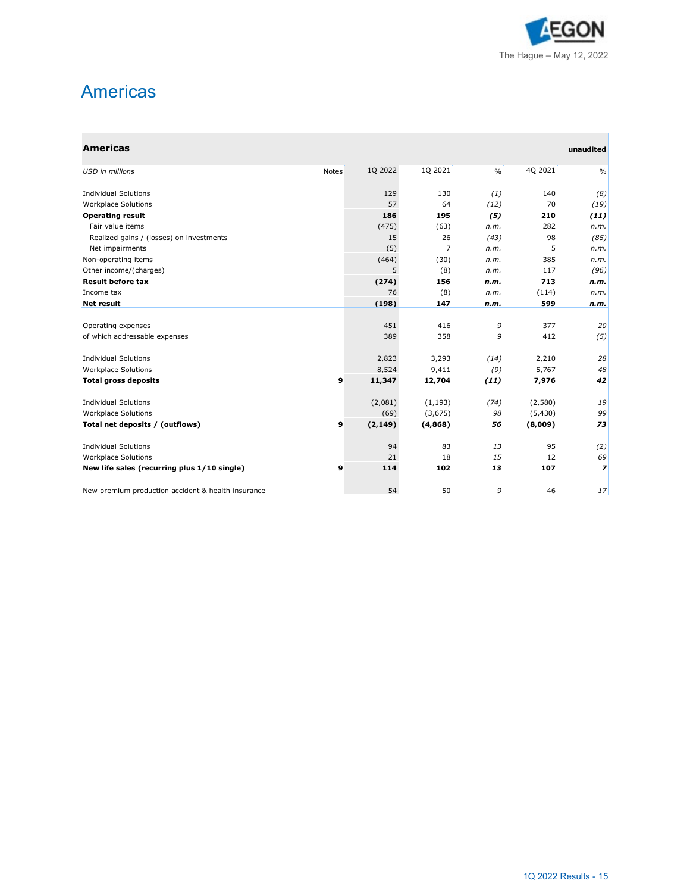

# **Americas**

 $\overline{a}$ 

| <b>Americas</b>                                    |          |                |               |          | unaudited     |
|----------------------------------------------------|----------|----------------|---------------|----------|---------------|
| <b>Notes</b><br><b>USD</b> in millions             | 1Q 2022  | 1Q 2021        | $\frac{0}{0}$ | 4Q 2021  | $\frac{0}{0}$ |
|                                                    |          |                |               |          |               |
| <b>Individual Solutions</b>                        | 129      | 130            | (1)           | 140      | (8)           |
| <b>Workplace Solutions</b>                         | 57       | 64             | (12)          | 70       | (19)          |
| <b>Operating result</b>                            | 186      | 195            | (5)           | 210      | (11)          |
| Fair value items                                   | (475)    | (63)           | n.m.          | 282      | n.m.          |
| Realized gains / (losses) on investments           | 15       | 26             | (43)          | 98       | (85)          |
| Net impairments                                    | (5)      | $\overline{7}$ | n.m.          | 5        | n.m.          |
| Non-operating items                                | (464)    | (30)           | n.m.          | 385      | n.m.          |
| Other income/(charges)                             | 5        | (8)            | n.m.          | 117      | (96)          |
| <b>Result before tax</b>                           | (274)    | 156            | n.m.          | 713      | n.m.          |
| Income tax                                         | 76       | (8)            | n.m.          | (114)    | n.m.          |
| Net result                                         | (198)    | 147            | n.m.          | 599      | n.m.          |
| Operating expenses                                 | 451      | 416            | 9             | 377      | 20            |
| of which addressable expenses                      | 389      | 358            | 9             | 412      | (5)           |
| Individual Solutions                               | 2,823    | 3,293          | (14)          | 2,210    | 28            |
| <b>Workplace Solutions</b>                         | 8,524    | 9,411          | (9)           | 5,767    | 48            |
| <b>Total gross deposits</b><br>9                   | 11,347   | 12,704         | (11)          | 7,976    | 42            |
| <b>Individual Solutions</b>                        | (2,081)  | (1, 193)       | (74)          | (2,580)  | 19            |
| <b>Workplace Solutions</b>                         | (69)     | (3,675)        | 98            | (5, 430) | 99            |
| Total net deposits / (outflows)<br>9               | (2, 149) | (4,868)        | 56            | (8,009)  | 73            |
| <b>Individual Solutions</b>                        | 94       | 83             | 13            | 95       | (2)           |
| <b>Workplace Solutions</b>                         | 21       | 18             | 15            | 12       | 69            |
| 9<br>New life sales (recurring plus 1/10 single)   | 114      | 102            | 13            | 107      | 7             |
| New premium production accident & health insurance | 54       | 50             | 9             | 46       | 17            |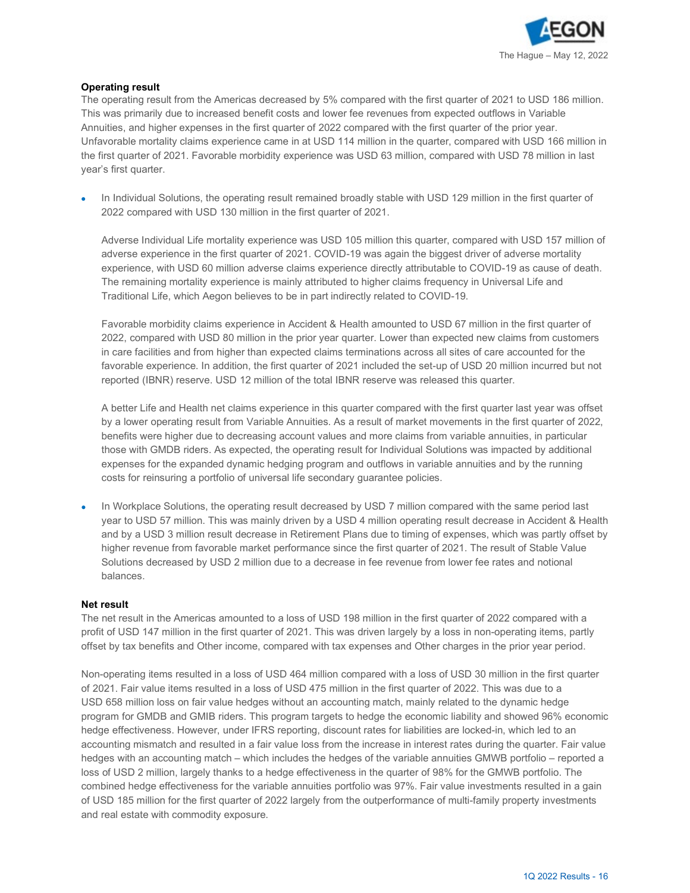

# **Operating result**

The operating result from the Americas decreased by 5% compared with the first quarter of 2021 to USD 186 million. This was primarily due to increased benefit costs and lower fee revenues from expected outflows in Variable Annuities, and higher expenses in the first quarter of 2022 compared with the first quarter of the prior year. Unfavorable mortality claims experience came in at USD 114 million in the quarter, compared with USD 166 million in the first quarter of 2021. Favorable morbidity experience was USD 63 million, compared with USD 78 million in last year's first quarter.

• In Individual Solutions, the operating result remained broadly stable with USD 129 million in the first quarter of 2022 compared with USD 130 million in the first quarter of 2021.

Adverse Individual Life mortality experience was USD 105 million this quarter, compared with USD 157 million of adverse experience in the first quarter of 2021. COVID-19 was again the biggest driver of adverse mortality experience, with USD 60 million adverse claims experience directly attributable to COVID-19 as cause of death. The remaining mortality experience is mainly attributed to higher claims frequency in Universal Life and Traditional Life, which Aegon believes to be in part indirectly related to COVID-19.

Favorable morbidity claims experience in Accident & Health amounted to USD 67 million in the first quarter of 2022, compared with USD 80 million in the prior year quarter. Lower than expected new claims from customers in care facilities and from higher than expected claims terminations across all sites of care accounted for the favorable experience. In addition, the first quarter of 2021 included the set-up of USD 20 million incurred but not reported (IBNR) reserve. USD 12 million of the total IBNR reserve was released this quarter.

A better Life and Health net claims experience in this quarter compared with the first quarter last year was offset by a lower operating result from Variable Annuities. As a result of market movements in the first quarter of 2022, benefits were higher due to decreasing account values and more claims from variable annuities, in particular those with GMDB riders. As expected, the operating result for Individual Solutions was impacted by additional expenses for the expanded dynamic hedging program and outflows in variable annuities and by the running costs for reinsuring a portfolio of universal life secondary guarantee policies.

• In Workplace Solutions, the operating result decreased by USD 7 million compared with the same period last year to USD 57 million. This was mainly driven by a USD 4 million operating result decrease in Accident & Health and by a USD 3 million result decrease in Retirement Plans due to timing of expenses, which was partly offset by higher revenue from favorable market performance since the first quarter of 2021. The result of Stable Value Solutions decreased by USD 2 million due to a decrease in fee revenue from lower fee rates and notional balances.

### **Net result**

The net result in the Americas amounted to a loss of USD 198 million in the first quarter of 2022 compared with a profit of USD 147 million in the first quarter of 2021. This was driven largely by a loss in non-operating items, partly offset by tax benefits and Other income, compared with tax expenses and Other charges in the prior year period.

Non-operating items resulted in a loss of USD 464 million compared with a loss of USD 30 million in the first quarter of 2021. Fair value items resulted in a loss of USD 475 million in the first quarter of 2022. This was due to a USD 658 million loss on fair value hedges without an accounting match, mainly related to the dynamic hedge program for GMDB and GMIB riders. This program targets to hedge the economic liability and showed 96% economic hedge effectiveness. However, under IFRS reporting, discount rates for liabilities are locked-in, which led to an accounting mismatch and resulted in a fair value loss from the increase in interest rates during the quarter. Fair value hedges with an accounting match – which includes the hedges of the variable annuities GMWB portfolio – reported a loss of USD 2 million, largely thanks to a hedge effectiveness in the quarter of 98% for the GMWB portfolio. The combined hedge effectiveness for the variable annuities portfolio was 97%. Fair value investments resulted in a gain of USD 185 million for the first quarter of 2022 largely from the outperformance of multi-family property investments and real estate with commodity exposure.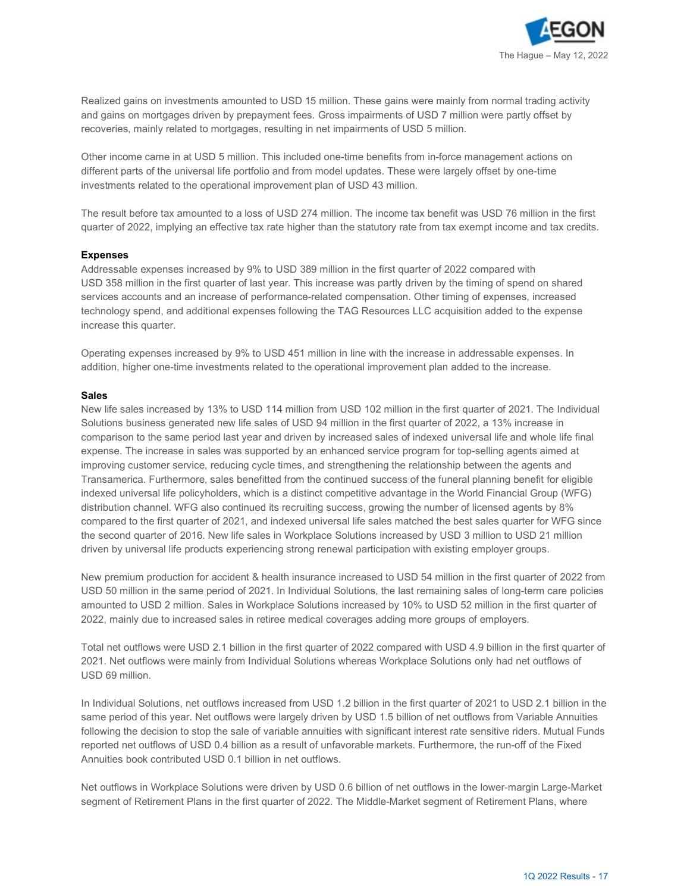

Realized gains on investments amounted to USD 15 million. These gains were mainly from normal trading activity and gains on mortgages driven by prepayment fees. Gross impairments of USD 7 million were partly offset by recoveries, mainly related to mortgages, resulting in net impairments of USD 5 million.

Other income came in at USD 5 million. This included one-time benefits from in-force management actions on different parts of the universal life portfolio and from model updates. These were largely offset by one-time investments related to the operational improvement plan of USD 43 million.

The result before tax amounted to a loss of USD 274 million. The income tax benefit was USD 76 million in the first quarter of 2022, implying an effective tax rate higher than the statutory rate from tax exempt income and tax credits.

#### **Expenses**

Addressable expenses increased by 9% to USD 389 million in the first quarter of 2022 compared with USD 358 million in the first quarter of last year. This increase was partly driven by the timing of spend on shared services accounts and an increase of performance-related compensation. Other timing of expenses, increased technology spend, and additional expenses following the TAG Resources LLC acquisition added to the expense increase this quarter.

Operating expenses increased by 9% to USD 451 million in line with the increase in addressable expenses. In addition, higher one-time investments related to the operational improvement plan added to the increase.

#### **Sales**

New life sales increased by 13% to USD 114 million from USD 102 million in the first quarter of 2021. The Individual Solutions business generated new life sales of USD 94 million in the first quarter of 2022, a 13% increase in comparison to the same period last year and driven by increased sales of indexed universal life and whole life final expense. The increase in sales was supported by an enhanced service program for top-selling agents aimed at improving customer service, reducing cycle times, and strengthening the relationship between the agents and Transamerica. Furthermore, sales benefitted from the continued success of the funeral planning benefit for eligible indexed universal life policyholders, which is a distinct competitive advantage in the World Financial Group (WFG) distribution channel. WFG also continued its recruiting success, growing the number of licensed agents by 8% compared to the first quarter of 2021, and indexed universal life sales matched the best sales quarter for WFG since the second quarter of 2016. New life sales in Workplace Solutions increased by USD 3 million to USD 21 million driven by universal life products experiencing strong renewal participation with existing employer groups.

New premium production for accident & health insurance increased to USD 54 million in the first quarter of 2022 from USD 50 million in the same period of 2021. In Individual Solutions, the last remaining sales of long-term care policies amounted to USD 2 million. Sales in Workplace Solutions increased by 10% to USD 52 million in the first quarter of 2022, mainly due to increased sales in retiree medical coverages adding more groups of employers.

Total net outflows were USD 2.1 billion in the first quarter of 2022 compared with USD 4.9 billion in the first quarter of 2021. Net outflows were mainly from Individual Solutions whereas Workplace Solutions only had net outflows of USD 69 million.

In Individual Solutions, net outflows increased from USD 1.2 billion in the first quarter of 2021 to USD 2.1 billion in the same period of this year. Net outflows were largely driven by USD 1.5 billion of net outflows from Variable Annuities following the decision to stop the sale of variable annuities with significant interest rate sensitive riders. Mutual Funds reported net outflows of USD 0.4 billion as a result of unfavorable markets. Furthermore, the run-off of the Fixed Annuities book contributed USD 0.1 billion in net outflows.

Net outflows in Workplace Solutions were driven by USD 0.6 billion of net outflows in the lower-margin Large-Market segment of Retirement Plans in the first quarter of 2022. The Middle-Market segment of Retirement Plans, where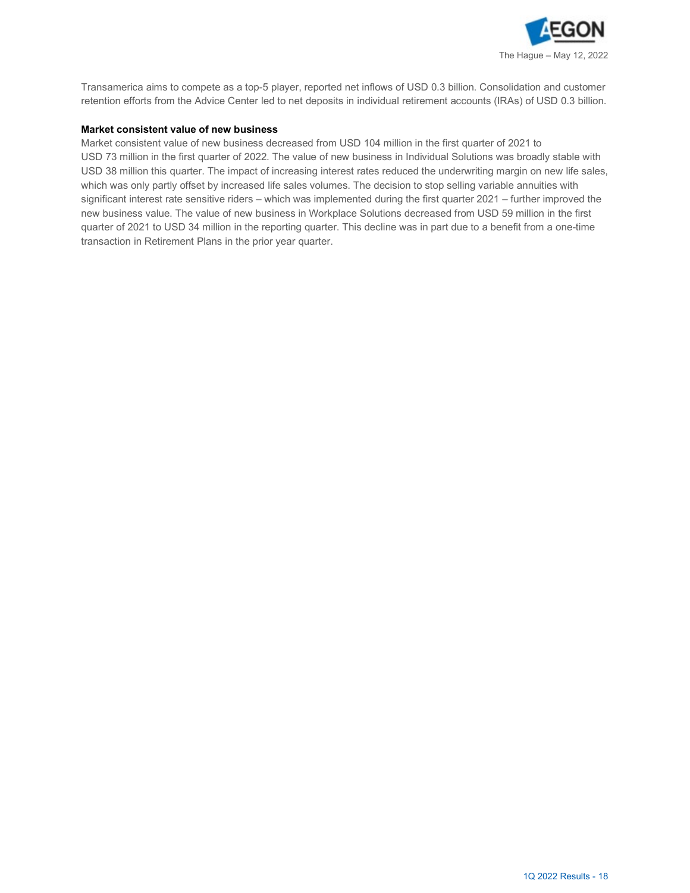

Transamerica aims to compete as a top-5 player, reported net inflows of USD 0.3 billion. Consolidation and customer retention efforts from the Advice Center led to net deposits in individual retirement accounts (IRAs) of USD 0.3 billion.

# **Market consistent value of new business**

Market consistent value of new business decreased from USD 104 million in the first quarter of 2021 to USD 73 million in the first quarter of 2022. The value of new business in Individual Solutions was broadly stable with USD 38 million this quarter. The impact of increasing interest rates reduced the underwriting margin on new life sales, which was only partly offset by increased life sales volumes. The decision to stop selling variable annuities with significant interest rate sensitive riders – which was implemented during the first quarter 2021 – further improved the new business value. The value of new business in Workplace Solutions decreased from USD 59 million in the first quarter of 2021 to USD 34 million in the reporting quarter. This decline was in part due to a benefit from a one-time transaction in Retirement Plans in the prior year quarter.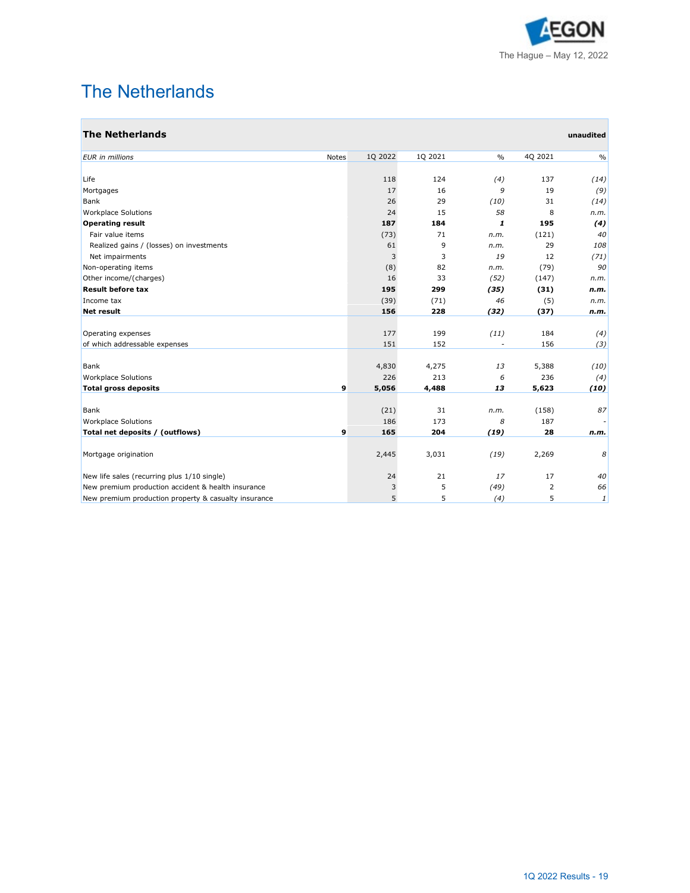

# The Netherlands

| <b>The Netherlands</b>                               |         |         |                |                | unaudited     |
|------------------------------------------------------|---------|---------|----------------|----------------|---------------|
| <b>EUR</b> in millions<br><b>Notes</b>               | 1Q 2022 | 1Q 2021 | $\frac{0}{0}$  | 4Q 2021        | $\frac{0}{0}$ |
|                                                      |         |         |                |                |               |
| Life                                                 | 118     | 124     | (4)            | 137            | (14)          |
| Mortgages                                            | 17      | 16      | 9              | 19             | (9)           |
| <b>Bank</b>                                          | 26      | 29      | (10)           | 31             | (14)          |
| <b>Workplace Solutions</b>                           | 24      | 15      | 58             | 8              | n.m.          |
| <b>Operating result</b>                              | 187     | 184     | 1              | 195            | (4)           |
| Fair value items                                     | (73)    | 71      | n.m.           | (121)          | 40            |
| Realized gains / (losses) on investments             | 61      | 9       | n.m.           | 29             | 108           |
| Net impairments                                      | 3       | 3       | 19             | 12             | (71)          |
| Non-operating items                                  | (8)     | 82      | n.m.           | (79)           | 90            |
| Other income/(charges)                               | 16      | 33      | (52)           | (147)          | n.m.          |
| <b>Result before tax</b>                             | 195     | 299     | (35)           | (31)           | n.m.          |
| Income tax                                           | (39)    | (71)    | 46             | (5)            | n.m.          |
| <b>Net result</b>                                    | 156     | 228     | (32)           | (37)           | n.m.          |
| Operating expenses                                   | 177     | 199     | (11)           | 184            | (4)           |
| of which addressable expenses                        | 151     | 152     | $\overline{a}$ | 156            | (3)           |
| <b>Bank</b>                                          | 4,830   | 4,275   | 13             | 5,388          | (10)          |
| <b>Workplace Solutions</b>                           | 226     | 213     | 6              | 236            | (4)           |
| 9<br><b>Total gross deposits</b>                     | 5,056   | 4,488   | 13             | 5,623          | (10)          |
| Bank                                                 | (21)    | 31      | n.m.           | (158)          | 87            |
| <b>Workplace Solutions</b>                           | 186     | 173     | 8              | 187            |               |
| 9<br>Total net deposits / (outflows)                 | 165     | 204     | (19)           | 28             | n.m.          |
| Mortgage origination                                 | 2,445   | 3,031   | (19)           | 2,269          | 8             |
| New life sales (recurring plus 1/10 single)          | 24      | 21      | 17             | 17             | 40            |
| New premium production accident & health insurance   | 3       | 5       | (49)           | $\overline{2}$ | 66            |
| New premium production property & casualty insurance | 5       | 5       | (4)            | 5              | 1             |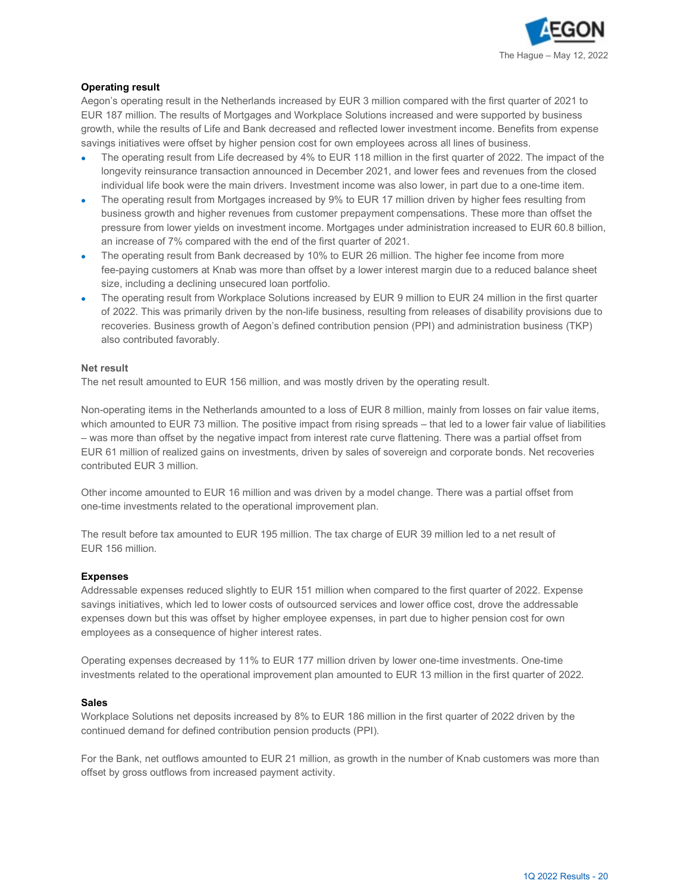

# **Operating result**

Aegon's operating result in the Netherlands increased by EUR 3 million compared with the first quarter of 2021 to EUR 187 million. The results of Mortgages and Workplace Solutions increased and were supported by business growth, while the results of Life and Bank decreased and reflected lower investment income. Benefits from expense savings initiatives were offset by higher pension cost for own employees across all lines of business.

- The operating result from Life decreased by 4% to EUR 118 million in the first quarter of 2022. The impact of the longevity reinsurance transaction announced in December 2021, and lower fees and revenues from the closed individual life book were the main drivers. Investment income was also lower, in part due to a one-time item.
- The operating result from Mortgages increased by 9% to EUR 17 million driven by higher fees resulting from business growth and higher revenues from customer prepayment compensations. These more than offset the pressure from lower yields on investment income. Mortgages under administration increased to EUR 60.8 billion, an increase of 7% compared with the end of the first quarter of 2021.
- The operating result from Bank decreased by 10% to EUR 26 million. The higher fee income from more fee-paying customers at Knab was more than offset by a lower interest margin due to a reduced balance sheet size, including a declining unsecured loan portfolio.
- The operating result from Workplace Solutions increased by EUR 9 million to EUR 24 million in the first quarter of 2022. This was primarily driven by the non-life business, resulting from releases of disability provisions due to recoveries. Business growth of Aegon's defined contribution pension (PPI) and administration business (TKP) also contributed favorably.

### **Net result**

The net result amounted to EUR 156 million, and was mostly driven by the operating result.

Non-operating items in the Netherlands amounted to a loss of EUR 8 million, mainly from losses on fair value items, which amounted to EUR 73 million. The positive impact from rising spreads – that led to a lower fair value of liabilities – was more than offset by the negative impact from interest rate curve flattening. There was a partial offset from EUR 61 million of realized gains on investments, driven by sales of sovereign and corporate bonds. Net recoveries contributed EUR 3 million.

Other income amounted to EUR 16 million and was driven by a model change. There was a partial offset from one-time investments related to the operational improvement plan.

The result before tax amounted to EUR 195 million. The tax charge of EUR 39 million led to a net result of EUR 156 million.

### **Expenses**

Addressable expenses reduced slightly to EUR 151 million when compared to the first quarter of 2022. Expense savings initiatives, which led to lower costs of outsourced services and lower office cost, drove the addressable expenses down but this was offset by higher employee expenses, in part due to higher pension cost for own employees as a consequence of higher interest rates.

Operating expenses decreased by 11% to EUR 177 million driven by lower one-time investments. One-time investments related to the operational improvement plan amounted to EUR 13 million in the first quarter of 2022.

#### **Sales**

Workplace Solutions net deposits increased by 8% to EUR 186 million in the first quarter of 2022 driven by the continued demand for defined contribution pension products (PPI).

For the Bank, net outflows amounted to EUR 21 million, as growth in the number of Knab customers was more than offset by gross outflows from increased payment activity.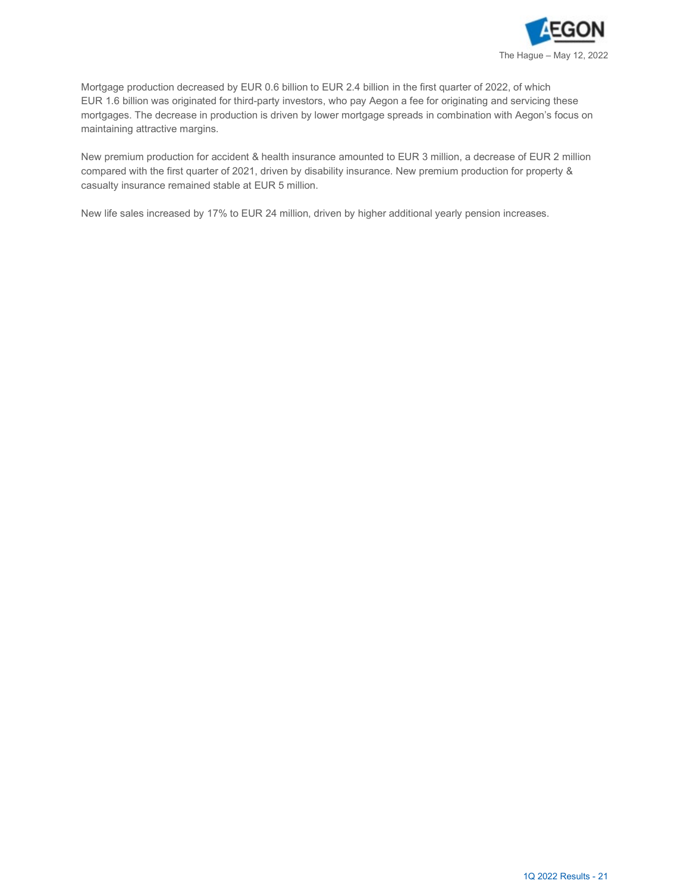

Mortgage production decreased by EUR 0.6 billion to EUR 2.4 billion in the first quarter of 2022, of which EUR 1.6 billion was originated for third-party investors, who pay Aegon a fee for originating and servicing these mortgages. The decrease in production is driven by lower mortgage spreads in combination with Aegon's focus on maintaining attractive margins.

New premium production for accident & health insurance amounted to EUR 3 million, a decrease of EUR 2 million compared with the first quarter of 2021, driven by disability insurance. New premium production for property & casualty insurance remained stable at EUR 5 million.

New life sales increased by 17% to EUR 24 million, driven by higher additional yearly pension increases.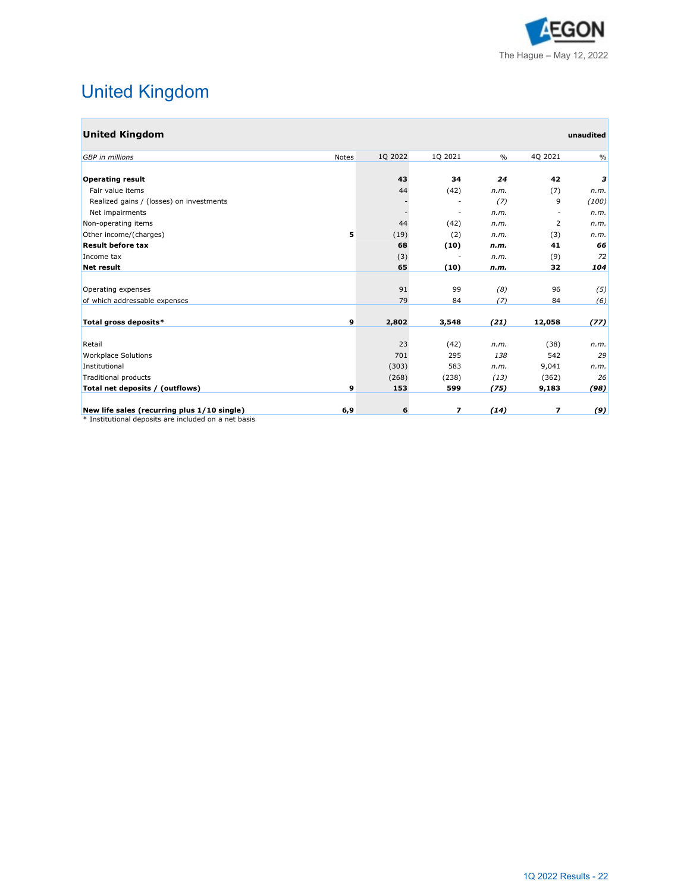

# United Kingdom

| <b>United Kingdom</b>                                |       |         |         |               |                          | unaudited     |
|------------------------------------------------------|-------|---------|---------|---------------|--------------------------|---------------|
| <b>GBP</b> in millions                               | Notes | 10 2022 | 1Q 2021 | $\frac{0}{0}$ | 40 2021                  | $\frac{0}{0}$ |
| <b>Operating result</b>                              |       | 43      | 34      | 24            | 42                       | з             |
| Fair value items                                     |       | 44      | (42)    | n.m.          | (7)                      | n.m.          |
| Realized gains / (losses) on investments             |       |         |         | (7)           | 9                        | (100)         |
| Net impairments                                      |       |         | ٠       | n.m.          | $\overline{\phantom{a}}$ | n.m.          |
| Non-operating items                                  |       | 44      | (42)    | n.m.          | $\overline{2}$           | n.m.          |
| Other income/(charges)                               | 5     | (19)    | (2)     | n.m.          | (3)                      | n.m.          |
| <b>Result before tax</b>                             |       | 68      | (10)    | n.m.          | 41                       | 66            |
| Income tax                                           |       | (3)     |         | n.m.          | (9)                      | 72            |
| <b>Net result</b>                                    |       | 65      | (10)    | n.m.          | 32                       | 104           |
| Operating expenses                                   |       | 91      | 99      | (8)           | 96                       | (5)           |
| of which addressable expenses                        |       | 79      | 84      | (7)           | 84                       | (6)           |
| Total gross deposits*                                | 9     | 2,802   | 3,548   | (21)          | 12,058                   | (77)          |
| Retail                                               |       | 23      | (42)    | n.m.          | (38)                     | n.m.          |
| <b>Workplace Solutions</b>                           |       | 701     | 295     | 138           | 542                      | 29            |
| Institutional                                        |       | (303)   | 583     | n.m.          | 9,041                    | n.m.          |
| <b>Traditional products</b>                          |       | (268)   | (238)   | (13)          | (362)                    | 26            |
| Total net deposits / (outflows)                      | 9     | 153     | 599     | (75)          | 9,183                    | (98)          |
| New life sales (recurring plus 1/10 single)          | 6,9   | 6       | 7       | (14)          | 7                        | (9)           |
| * Institutional deposits are included on a net basis |       |         |         |               |                          |               |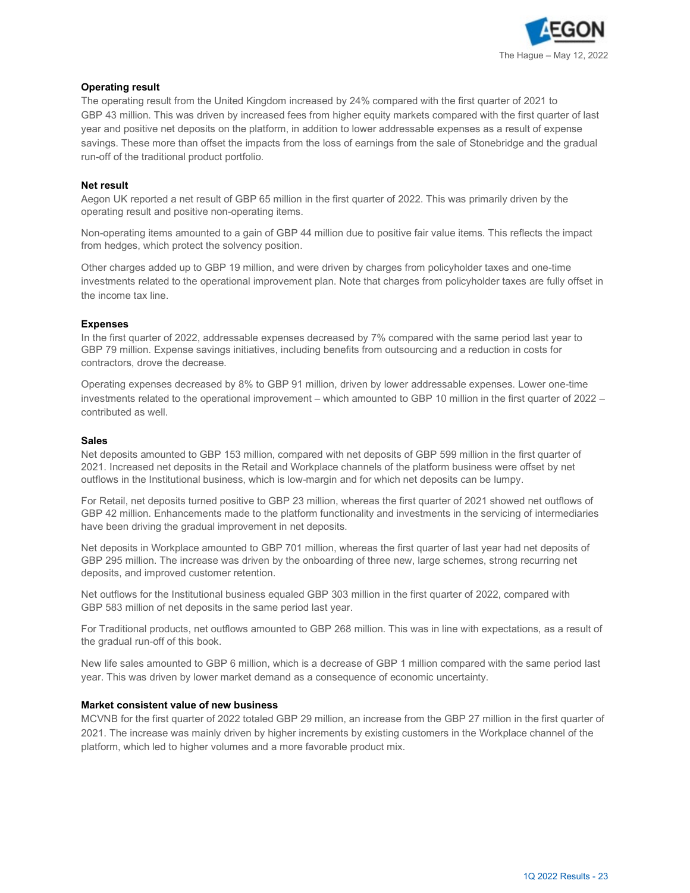

# **Operating result**

The operating result from the United Kingdom increased by 24% compared with the first quarter of 2021 to GBP 43 million. This was driven by increased fees from higher equity markets compared with the first quarter of last year and positive net deposits on the platform, in addition to lower addressable expenses as a result of expense savings. These more than offset the impacts from the loss of earnings from the sale of Stonebridge and the gradual run-off of the traditional product portfolio.

### **Net result**

Aegon UK reported a net result of GBP 65 million in the first quarter of 2022. This was primarily driven by the operating result and positive non-operating items.

Non-operating items amounted to a gain of GBP 44 million due to positive fair value items. This reflects the impact from hedges, which protect the solvency position.

Other charges added up to GBP 19 million, and were driven by charges from policyholder taxes and one-time investments related to the operational improvement plan. Note that charges from policyholder taxes are fully offset in the income tax line.

### **Expenses**

In the first quarter of 2022, addressable expenses decreased by 7% compared with the same period last year to GBP 79 million. Expense savings initiatives, including benefits from outsourcing and a reduction in costs for contractors, drove the decrease.

Operating expenses decreased by 8% to GBP 91 million, driven by lower addressable expenses. Lower one-time investments related to the operational improvement – which amounted to GBP 10 million in the first quarter of 2022 – contributed as well.

#### **Sales**

Net deposits amounted to GBP 153 million, compared with net deposits of GBP 599 million in the first quarter of 2021. Increased net deposits in the Retail and Workplace channels of the platform business were offset by net outflows in the Institutional business, which is low-margin and for which net deposits can be lumpy.

For Retail, net deposits turned positive to GBP 23 million, whereas the first quarter of 2021 showed net outflows of GBP 42 million. Enhancements made to the platform functionality and investments in the servicing of intermediaries have been driving the gradual improvement in net deposits.

Net deposits in Workplace amounted to GBP 701 million, whereas the first quarter of last year had net deposits of GBP 295 million. The increase was driven by the onboarding of three new, large schemes, strong recurring net deposits, and improved customer retention.

Net outflows for the Institutional business equaled GBP 303 million in the first quarter of 2022, compared with GBP 583 million of net deposits in the same period last year.

For Traditional products, net outflows amounted to GBP 268 million. This was in line with expectations, as a result of the gradual run-off of this book.

New life sales amounted to GBP 6 million, which is a decrease of GBP 1 million compared with the same period last year. This was driven by lower market demand as a consequence of economic uncertainty.

### **Market consistent value of new business**

MCVNB for the first quarter of 2022 totaled GBP 29 million, an increase from the GBP 27 million in the first quarter of 2021. The increase was mainly driven by higher increments by existing customers in the Workplace channel of the platform, which led to higher volumes and a more favorable product mix.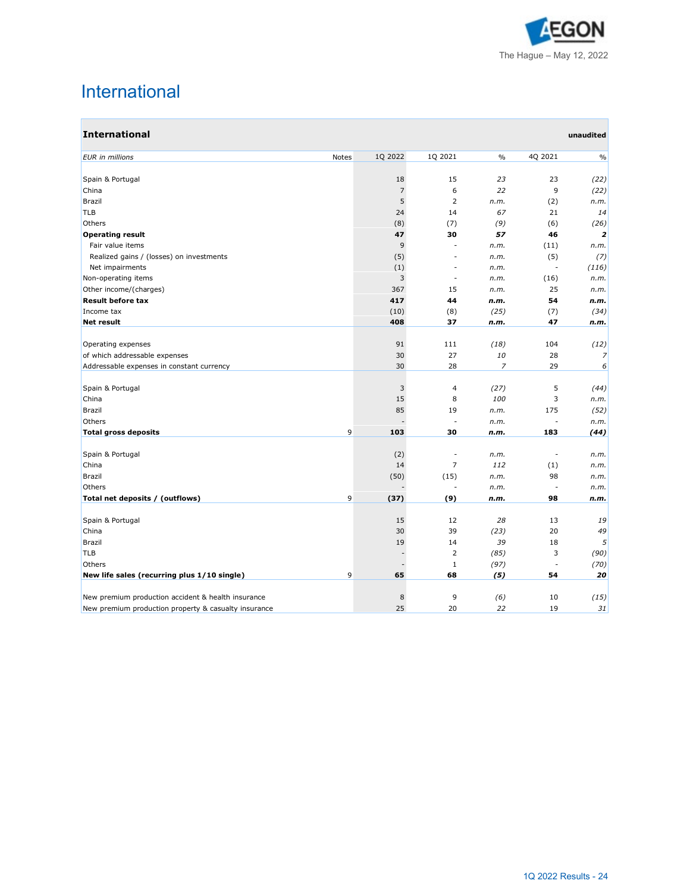

# International

| <b>International</b>                                 |       |                |                          |                |                | unaudited     |
|------------------------------------------------------|-------|----------------|--------------------------|----------------|----------------|---------------|
| <b>EUR</b> in millions                               | Notes | 1Q 2022        | 1Q 2021                  | $\%$           | 4Q 2021        | $\frac{0}{0}$ |
|                                                      |       |                |                          |                |                |               |
| Spain & Portugal                                     |       | 18             | 15                       | 23             | 23             | (22)          |
| China                                                |       | $\overline{7}$ | 6                        | 22             | 9              | (22)          |
| <b>Brazil</b>                                        |       | 5              | $\overline{2}$           | n.m.           | (2)            | n.m.          |
| <b>TLB</b>                                           |       | 24             | 14                       | 67             | 21             | 14            |
| Others                                               |       | (8)            | (7)                      | (9)            | (6)            | (26)          |
| <b>Operating result</b>                              |       | 47             | 30                       | 57             | 46             | 2             |
| Fair value items                                     |       | 9              |                          | n.m.           | (11)           | n.m.          |
| Realized gains / (losses) on investments             |       | (5)            | $\overline{\phantom{a}}$ | n.m.           | (5)<br>L.      | (7)           |
| Net impairments                                      |       | (1)            | ä,                       | n.m.           |                | (116)         |
| Non-operating items                                  |       | 3<br>367       | 15                       | n.m.<br>n.m.   | (16)<br>25     | n.m.          |
| Other income/(charges)<br><b>Result before tax</b>   |       | 417            | 44                       |                | 54             | n.m.          |
| Income tax                                           |       | (10)           | (8)                      | n.m.<br>(25)   | (7)            | n.m.<br>(34)  |
| <b>Net result</b>                                    |       | 408            | 37                       | n.m.           | 47             | n.m.          |
|                                                      |       |                |                          |                |                |               |
| Operating expenses                                   |       | 91             | 111                      | (18)           | 104            | (12)          |
| of which addressable expenses                        |       | 30             | 27                       | 10             | 28             | 7             |
| Addressable expenses in constant currency            |       | 30             | 28                       | $\overline{z}$ | 29             | 6             |
| Spain & Portugal                                     |       | 3              | 4                        | (27)           | 5              | (44)          |
| China                                                |       | 15             | 8                        | 100            | 3              | n.m.          |
| <b>Brazil</b>                                        |       | 85             | 19                       | n.m.           | 175            | (52)          |
| Others                                               |       |                |                          | n.m.           |                | n.m.          |
| <b>Total gross deposits</b>                          | 9     | 103            | 30                       | n.m.           | 183            | (44)          |
|                                                      |       |                |                          |                |                |               |
| Spain & Portugal                                     |       | (2)            |                          | n.m.           | $\overline{a}$ | n.m.          |
| China                                                |       | 14             | $\overline{7}$           | 112            | (1)            | n.m.          |
| <b>Brazil</b>                                        |       | (50)           | (15)                     | n.m.           | 98             | n.m.          |
| Others                                               |       |                |                          | n.m.           | ä,             | n.m.          |
| Total net deposits / (outflows)                      | 9     | (37)           | (9)                      | n.m.           | 98             | n.m.          |
| Spain & Portugal                                     |       | 15             | 12                       | 28             | 13             | 19            |
| China                                                |       | 30             | 39                       | (23)           | 20             | 49            |
| <b>Brazil</b>                                        |       | 19             | 14                       | 39             | 18             | 5             |
| <b>TLB</b>                                           |       |                | $\overline{2}$           | (85)           | 3              | (90)          |
| Others                                               |       |                | $1\,$                    | (97)           | ÷,             | (70)          |
| New life sales (recurring plus 1/10 single)          | 9     | 65             | 68                       | (5)            | 54             | 20            |
|                                                      |       |                |                          |                |                |               |
| New premium production accident & health insurance   |       | 8              | 9                        | (6)            | 10             | (15)          |
| New premium production property & casualty insurance |       | 25             | 20                       | 22             | 19             | 31            |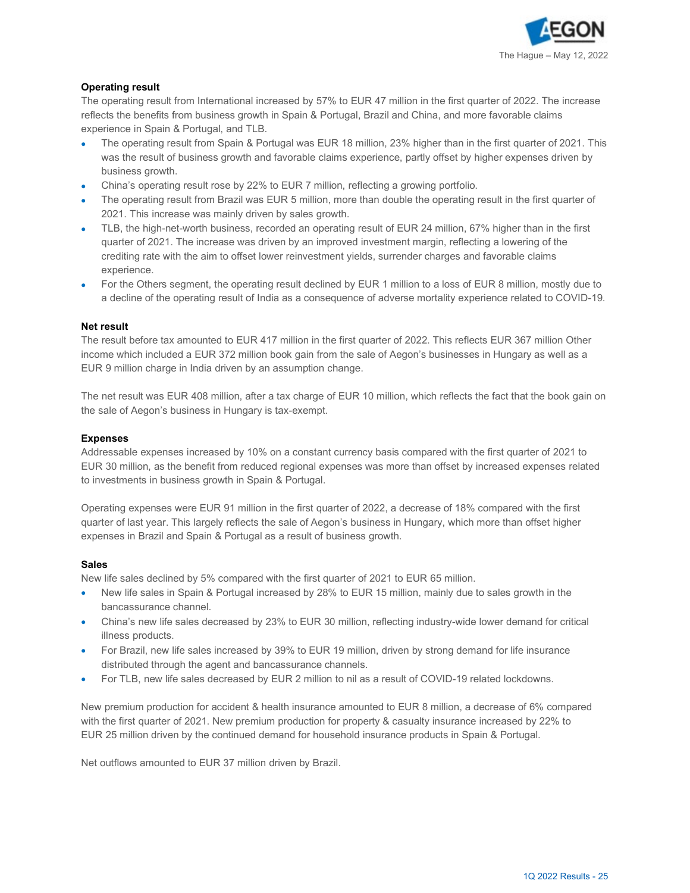

# **Operating result**

The operating result from International increased by 57% to EUR 47 million in the first quarter of 2022. The increase reflects the benefits from business growth in Spain & Portugal, Brazil and China, and more favorable claims experience in Spain & Portugal, and TLB.

- The operating result from Spain & Portugal was EUR 18 million, 23% higher than in the first quarter of 2021. This was the result of business growth and favorable claims experience, partly offset by higher expenses driven by business growth.
- China's operating result rose by 22% to EUR 7 million, reflecting a growing portfolio.
- The operating result from Brazil was EUR 5 million, more than double the operating result in the first quarter of 2021. This increase was mainly driven by sales growth.
- TLB, the high-net-worth business, recorded an operating result of EUR 24 million, 67% higher than in the first quarter of 2021. The increase was driven by an improved investment margin, reflecting a lowering of the crediting rate with the aim to offset lower reinvestment yields, surrender charges and favorable claims experience.
- For the Others segment, the operating result declined by EUR 1 million to a loss of EUR 8 million, mostly due to a decline of the operating result of India as a consequence of adverse mortality experience related to COVID-19.

### **Net result**

The result before tax amounted to EUR 417 million in the first quarter of 2022. This reflects EUR 367 million Other income which included a EUR 372 million book gain from the sale of Aegon's businesses in Hungary as well as a EUR 9 million charge in India driven by an assumption change.

The net result was EUR 408 million, after a tax charge of EUR 10 million, which reflects the fact that the book gain on the sale of Aegon's business in Hungary is tax-exempt.

### **Expenses**

Addressable expenses increased by 10% on a constant currency basis compared with the first quarter of 2021 to EUR 30 million, as the benefit from reduced regional expenses was more than offset by increased expenses related to investments in business growth in Spain & Portugal.

Operating expenses were EUR 91 million in the first quarter of 2022, a decrease of 18% compared with the first quarter of last year. This largely reflects the sale of Aegon's business in Hungary, which more than offset higher expenses in Brazil and Spain & Portugal as a result of business growth.

### **Sales**

New life sales declined by 5% compared with the first quarter of 2021 to EUR 65 million.

- New life sales in Spain & Portugal increased by 28% to EUR 15 million, mainly due to sales growth in the bancassurance channel.
- China's new life sales decreased by 23% to EUR 30 million, reflecting industry-wide lower demand for critical illness products.
- For Brazil, new life sales increased by 39% to EUR 19 million, driven by strong demand for life insurance distributed through the agent and bancassurance channels.
- For TLB, new life sales decreased by EUR 2 million to nil as a result of COVID-19 related lockdowns.

New premium production for accident & health insurance amounted to EUR 8 million, a decrease of 6% compared with the first quarter of 2021. New premium production for property & casualty insurance increased by 22% to EUR 25 million driven by the continued demand for household insurance products in Spain & Portugal.

Net outflows amounted to EUR 37 million driven by Brazil.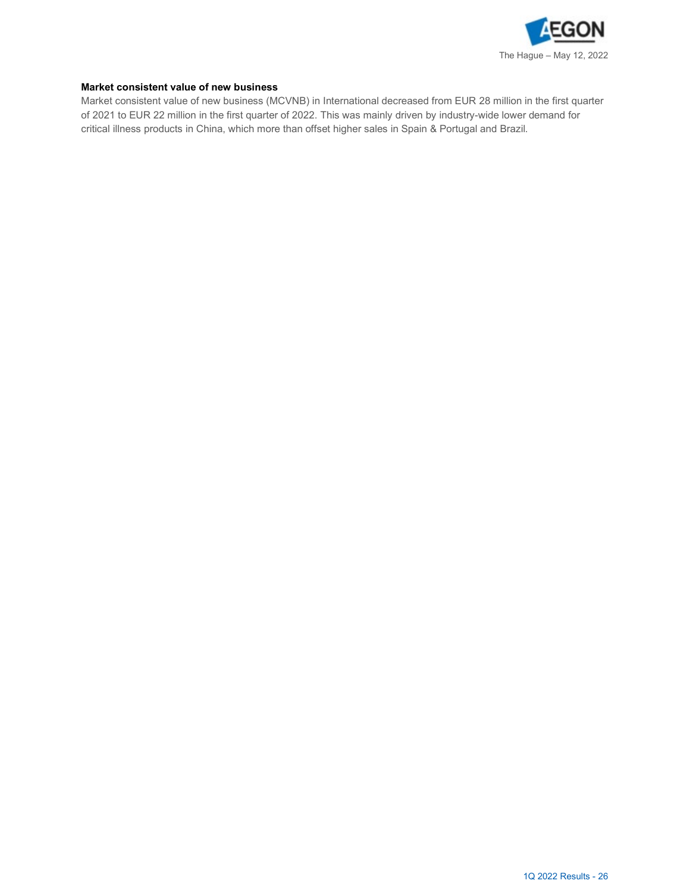

# **Market consistent value of new business**

Market consistent value of new business (MCVNB) in International decreased from EUR 28 million in the first quarter of 2021 to EUR 22 million in the first quarter of 2022. This was mainly driven by industry-wide lower demand for critical illness products in China, which more than offset higher sales in Spain & Portugal and Brazil.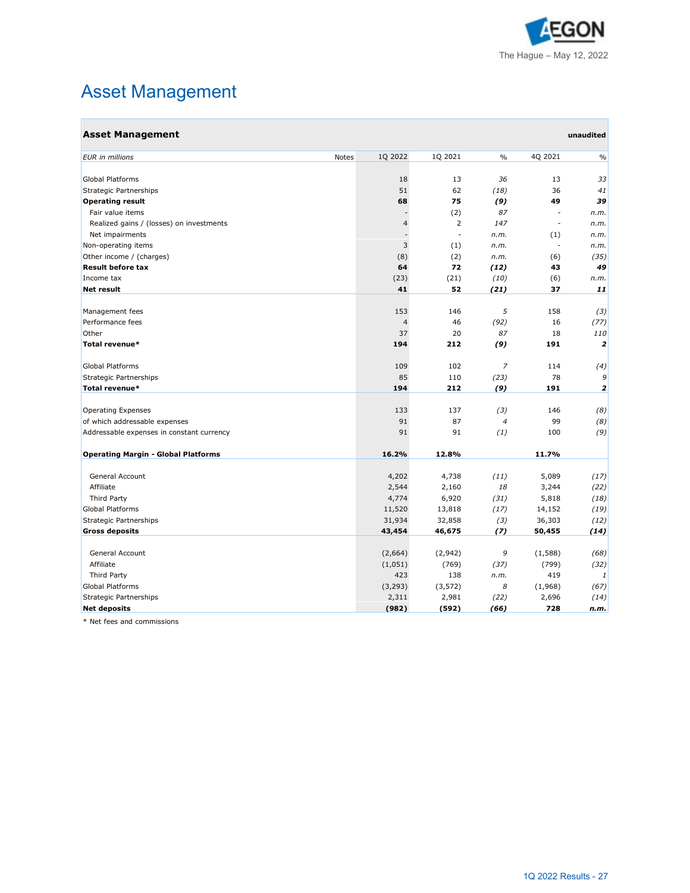

# Asset Management

| <b>Asset Management</b>                    |                          |                |                |                          | unaudited      |
|--------------------------------------------|--------------------------|----------------|----------------|--------------------------|----------------|
| <b>EUR</b> in millions                     | 1Q 2022<br>Notes         | 1Q 2021        | $\frac{0}{0}$  | 4Q 2021                  | $\frac{0}{0}$  |
|                                            |                          |                |                |                          |                |
| Global Platforms                           | 18                       | 13             | 36             | 13                       | 33             |
| Strategic Partnerships                     | 51                       | 62             | (18)           | 36                       | 41             |
| <b>Operating result</b>                    | 68                       | 75             | (9)            | 49                       | 39             |
| Fair value items                           |                          | (2)            | 87             | $\sim$                   | n.m.           |
| Realized gains / (losses) on investments   | $\overline{4}$           | $\overline{2}$ | 147            | $\overline{\phantom{a}}$ | n.m.           |
| Net impairments                            | $\overline{\phantom{a}}$ | $\sim$         | n.m.           | (1)                      | n.m.           |
| Non-operating items                        | 3                        | (1)            | n.m.           | $\bar{a}$                | n.m.           |
| Other income / (charges)                   | (8)                      | (2)            | n.m.           | (6)                      | (35)           |
| <b>Result before tax</b>                   | 64                       | 72             | (12)           | 43                       | 49             |
| Income tax                                 | (23)                     | (21)           | (10)           | (6)                      | n.m.           |
| <b>Net result</b>                          | 41                       | 52             | (21)           | 37                       | 11             |
| Management fees                            | 153                      | 146            | 5              | 158                      | (3)            |
| Performance fees                           | $\overline{4}$           | 46             | (92)           | 16                       | (77)           |
| Other                                      | 37                       | 20             | 87             | 18                       | 110            |
| Total revenue*                             | 194                      | 212            | (9)            | 191                      | $\overline{2}$ |
| Global Platforms                           | 109                      | 102            | $\overline{z}$ | 114                      | (4)            |
| Strategic Partnerships                     | 85                       | 110            | (23)           | 78                       | 9              |
| Total revenue*                             | 194                      | 212            | (9)            | 191                      | $\overline{2}$ |
|                                            |                          |                |                |                          |                |
| <b>Operating Expenses</b>                  | 133                      | 137            | (3)            | 146                      | (8)            |
| of which addressable expenses              | 91                       | 87             | $\overline{4}$ | 99                       | (8)            |
| Addressable expenses in constant currency  | 91                       | 91             | (1)            | 100                      | (9)            |
| <b>Operating Margin - Global Platforms</b> | 16.2%                    | 12.8%          |                | 11.7%                    |                |
| General Account                            | 4,202                    | 4,738          | (11)           | 5,089                    | (17)           |
| Affiliate                                  | 2,544                    | 2,160          | 18             | 3,244                    | (22)           |
| Third Party                                | 4,774                    | 6,920          | (31)           | 5,818                    | (18)           |
| Global Platforms                           | 11,520                   | 13,818         | (17)           | 14,152                   | (19)           |
| Strategic Partnerships                     | 31,934                   | 32,858         | (3)            | 36,303                   | (12)           |
| <b>Gross deposits</b>                      | 43,454                   | 46,675         | (7)            | 50,455                   | (14)           |
| General Account                            | (2,664)                  | (2,942)        | 9              | (1,588)                  | (68)           |
| Affiliate                                  | (1,051)                  | (769)          | (37)           | (799)                    | (32)           |
| Third Party                                | 423                      | 138            | n.m.           | 419                      | 1              |
| Global Platforms                           | (3, 293)                 | (3, 572)       | 8              | (1,968)                  | (67)           |
| Strategic Partnerships                     | 2,311                    | 2,981          | (22)           | 2,696                    | (14)           |
| <b>Net deposits</b>                        | (982)                    | (592)          | (66)           | 728                      | n.m.           |

\* Net fees and commissions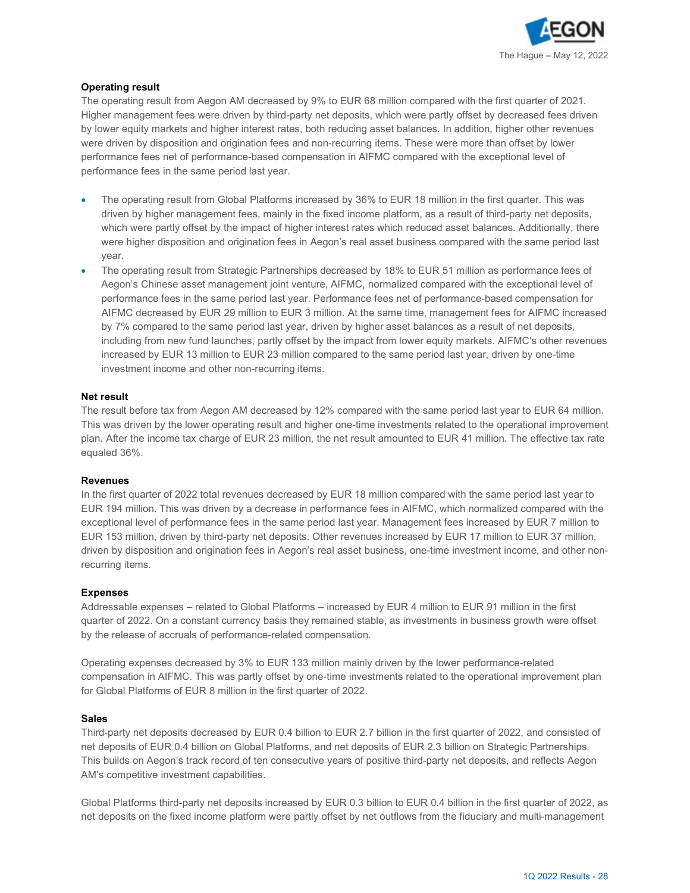

# **Operating result**

The operating result from Aegon AM decreased by 9% to EUR 68 million compared with the first quarter of 2021. Higher management fees were driven by third-party net deposits, which were partly offset by decreased fees driven by lower equity markets and higher interest rates, both reducing asset balances. In addition, higher other revenues were driven by disposition and origination fees and non-recurring items. These were more than offset by lower performance fees net of performance-based compensation in AIFMC compared with the exceptional level of performance fees in the same period last year.

- The operating result from Global Platforms increased by 36% to EUR 18 million in the first quarter. This was driven by higher management fees, mainly in the fixed income platform, as a result of third-party net deposits, which were partly offset by the impact of higher interest rates which reduced asset balances. Additionally, there were higher disposition and origination fees in Aegon's real asset business compared with the same period last year.
- The operating result from Strategic Partnerships decreased by 18% to EUR 51 million as performance fees of Aegon's Chinese asset management joint venture, AIFMC, normalized compared with the exceptional level of performance fees in the same period last year. Performance fees net of performance-based compensation for AIFMC decreased by EUR 29 million to EUR 3 million. At the same time, management fees for AIFMC increased by 7% compared to the same period last year, driven by higher asset balances as a result of net deposits, including from new fund launches, partly offset by the impact from lower equity markets. AIFMC's other revenues increased by EUR 13 million to EUR 23 million compared to the same period last year, driven by one-time investment income and other non-recurring items.

# **Net result**

The result before tax from Aegon AM decreased by 12% compared with the same period last year to EUR 64 million. This was driven by the lower operating result and higher one-time investments related to the operational improvement plan. After the income tax charge of EUR 23 million, the net result amounted to EUR 41 million. The effective tax rate equaled 36%.

### **Revenues**

In the first quarter of 2022 total revenues decreased by EUR 18 million compared with the same period last year to EUR 194 million. This was driven by a decrease in performance fees in AIFMC, which normalized compared with the exceptional level of performance fees in the same period last year. Management fees increased by EUR 7 million to EUR 153 million, driven by third-party net deposits. Other revenues increased by EUR 17 million to EUR 37 million, driven by disposition and origination fees in Aegon's real asset business, one-time investment income, and other nonrecurring items.

### **Expenses**

Addressable expenses – related to Global Platforms – increased by EUR 4 million to EUR 91 million in the first quarter of 2022. On a constant currency basis they remained stable, as investments in business growth were offset by the release of accruals of performance-related compensation.

Operating expenses decreased by 3% to EUR 133 million mainly driven by the lower performance-related compensation in AIFMC. This was partly offset by one-time investments related to the operational improvement plan for Global Platforms of EUR 8 million in the first quarter of 2022.

# **Sales**

Third-party net deposits decreased by EUR 0.4 billion to EUR 2.7 billion in the first quarter of 2022, and consisted of net deposits of EUR 0.4 billion on Global Platforms, and net deposits of EUR 2.3 billion on Strategic Partnerships. This builds on Aegon's track record of ten consecutive years of positive third-party net deposits, and reflects Aegon AM's competitive investment capabilities.

Global Platforms third-party net deposits increased by EUR 0.3 billion to EUR 0.4 billion in the first quarter of 2022, as net deposits on the fixed income platform were partly offset by net outflows from the fiduciary and multi-management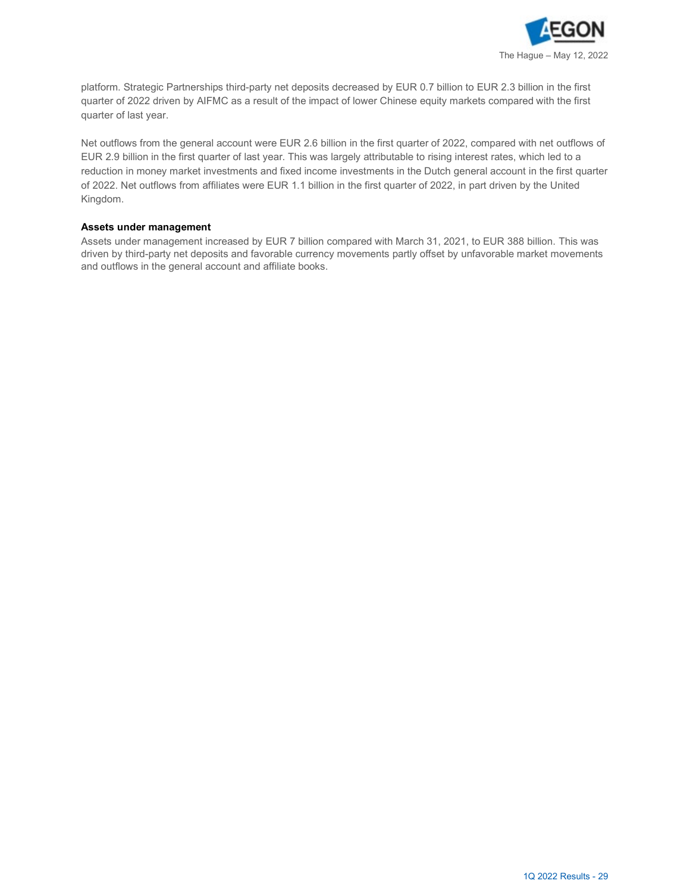

platform. Strategic Partnerships third-party net deposits decreased by EUR 0.7 billion to EUR 2.3 billion in the first quarter of 2022 driven by AIFMC as a result of the impact of lower Chinese equity markets compared with the first quarter of last year.

Net outflows from the general account were EUR 2.6 billion in the first quarter of 2022, compared with net outflows of EUR 2.9 billion in the first quarter of last year. This was largely attributable to rising interest rates, which led to a reduction in money market investments and fixed income investments in the Dutch general account in the first quarter of 2022. Net outflows from affiliates were EUR 1.1 billion in the first quarter of 2022, in part driven by the United Kingdom.

### **Assets under management**

Assets under management increased by EUR 7 billion compared with March 31, 2021, to EUR 388 billion. This was driven by third-party net deposits and favorable currency movements partly offset by unfavorable market movements and outflows in the general account and affiliate books.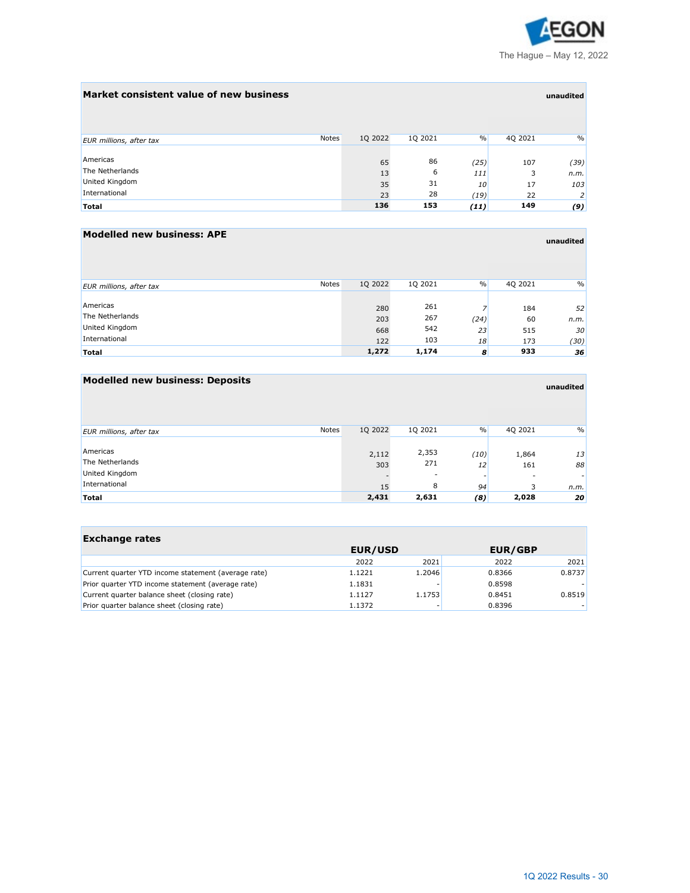

**unaudited**

# **Market consistent value of new business unaudited**

| EUR millions, after tax | <b>Notes</b> | 10 2022 | 10 2021 | $\%$ | 40 2021 | $\frac{0}{0}$  |
|-------------------------|--------------|---------|---------|------|---------|----------------|
|                         |              |         |         |      |         |                |
| Americas                |              | 65      | 86      | (25) | 107     | (39)           |
| The Netherlands         |              | 13      | 6       | 111  | 3       | n.m.           |
| United Kingdom          |              | 35      | 31      | 10   | 17      | 103            |
| International           |              | 23      | 28      | (19) | 22      | $\overline{2}$ |
| <b>Total</b>            |              | 136     | 153     | (11) | 149     | (9)            |

# **Modelled new business: APE**

| <b>EUR</b> millions, after tax | Notes | 10 2022 | 10 2021 | $\frac{0}{0}$ | 40 2021 | $\frac{0}{0}$ |
|--------------------------------|-------|---------|---------|---------------|---------|---------------|
|                                |       |         |         |               |         |               |
| Americas                       |       | 280     | 261     |               | 184     | 52            |
| The Netherlands                |       | 203     | 267     | (24)          | 60      | n.m.          |
| United Kingdom                 |       | 668     | 542     | 23            | 515     | 30            |
| International                  |       | 122     | 103     | 18            | 173     | (30)          |
| Total                          |       | 1,272   | 1,174   | 8             | 933     | 36            |

# **Modelled new business: Deposits unaudited**

| EUR millions, after tax                       | Notes | 1Q 2022      | 10 2021                                  | $\frac{0}{0}$ | 4Q 2021           | $\frac{0}{0}$ |
|-----------------------------------------------|-------|--------------|------------------------------------------|---------------|-------------------|---------------|
| Americas<br>The Netherlands<br>United Kingdom |       | 2,112<br>303 | 2,353<br>271<br>$\overline{\phantom{a}}$ | (10)<br>12    | 1,864<br>161<br>۰ | 13<br>88      |
| International                                 |       | 15           | 8                                        | 94            |                   | n.m.          |
| Total                                         |       | 2,431        | 2,631                                    | (8)           | 2,028             | 20            |

| <b>Exchange rates</b>                               |                |        |                |        |
|-----------------------------------------------------|----------------|--------|----------------|--------|
|                                                     | <b>EUR/USD</b> |        | <b>EUR/GBP</b> |        |
|                                                     | 2022           | 2021   | 2022           | 2021   |
| Current quarter YTD income statement (average rate) | 1.1221         | 1.2046 | 0.8366         | 0.8737 |
| Prior quarter YTD income statement (average rate)   | 1.1831         |        | 0.8598         |        |
| Current quarter balance sheet (closing rate)        | 1.1127         | 1.1753 | 0.8451         | 0.8519 |
| Prior quarter balance sheet (closing rate)          | 1.1372         |        | 0.8396         |        |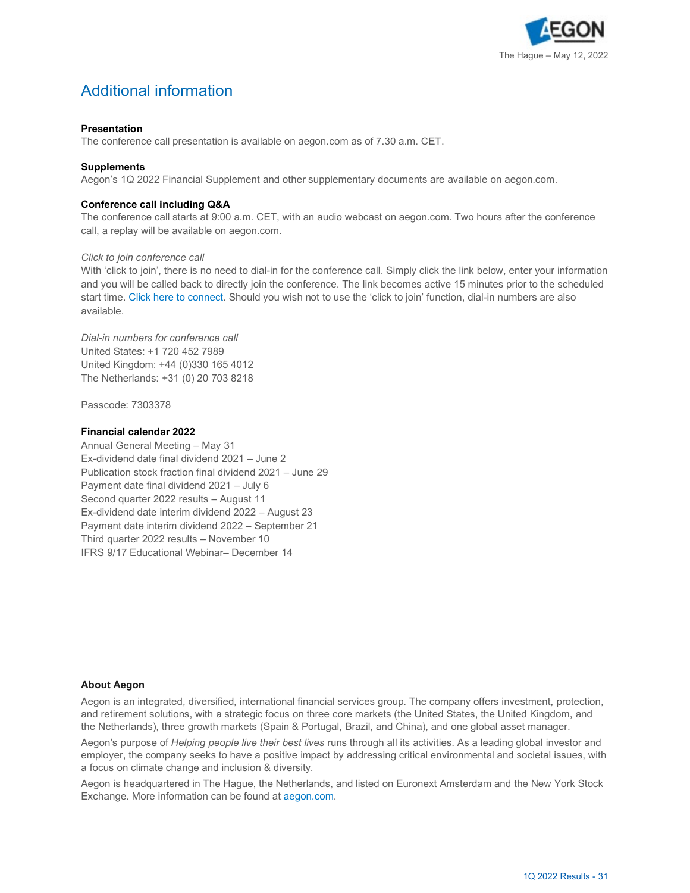

# Additional information

# **Presentation**

The conference call presentation is available o[n aegon.com](http://www.aegon.com/results) as of 7.30 a.m. CET.

# **Supplements**

Aegon's 1Q 2022 Financial Supplement and other supplementary documents are available o[n aegon.com.](http://www.aegon.com/results)

#### **Conference call including Q&A**

The conference call starts at 9:00 a.m. CET, with an audio webcast on aegon.com. Two hours after the conference call, a replay will be available on aegon.com.

#### *Click to join conference call*

With 'click to join', there is no need to dial-in for the conference call. Simply click the link below, enter your information and you will be called back to directly join the conference. The link becomes active 15 minutes prior to the scheduled start time. [Click here to connect.](https://urldefense.proofpoint.com/v2/url?u=https-3A__events.globalmeet.com_Public_ClickToJoin_ZW5jPTR5T3pxdHFBWmp5a1VDWHJMVDhRbk5zaHl1NW5jVGVodEtGUTJ0WFZJNjZib3VrK0V4cTBJZz09&d=DwMBaQ&c=9g4MJkl2VjLjS6R4ei18BA&r=Ua9A2-e5P87A3K7QOBPEI7Dt0NXtlx50FRc_QkR6K1s&m=UuaNrPXMDi7KzCn7ADQdpwQKUCaFjxBRQuySQVQpLevm-BVoRdqNMHbr_Spyg5sI&s=b6CuYK3MOccemsncFaxaxYwIDXfFC-hMeY5GoBt919s&e=) Should you wish not to use the 'click to join' function, dial-in numbers are also available.

*Dial-in numbers for conference call* United States: +1 720 452 7989 United Kingdom: +44 (0)330 165 4012 The Netherlands: +31 (0) 20 703 8218

Passcode: 7303378

#### **Financial calendar 2022**

Annual General Meeting – May 31 Ex-dividend date final dividend 2021 – June 2 Publication stock fraction final dividend 2021 – June 29 Payment date final dividend 2021 – July 6 Second quarter 2022 results – August 11 Ex-dividend date interim dividend 2022 – August 23 Payment date interim dividend 2022 – September 21 Third quarter 2022 results – November 10 IFRS 9/17 Educational Webinar– December 14

#### **About Aegon**

Aegon is an integrated, diversified, international financial services group. The company offers investment, protection, and retirement solutions, with a strategic focus on three core markets (the United States, the United Kingdom, and the Netherlands), three growth markets (Spain & Portugal, Brazil, and China), and one global asset manager.

Aegon's purpose of *Helping people live their best lives* runs through all its activities. As a leading global investor and employer, the company seeks to have a positive impact by addressing critical environmental and societal issues, with a focus on climate change and inclusion & diversity.

Aegon is headquartered in The Hague, the Netherlands, and listed on Euronext Amsterdam and the New York Stock Exchange. More information can be found a[t aegon.com.](https://www.aegon.com/)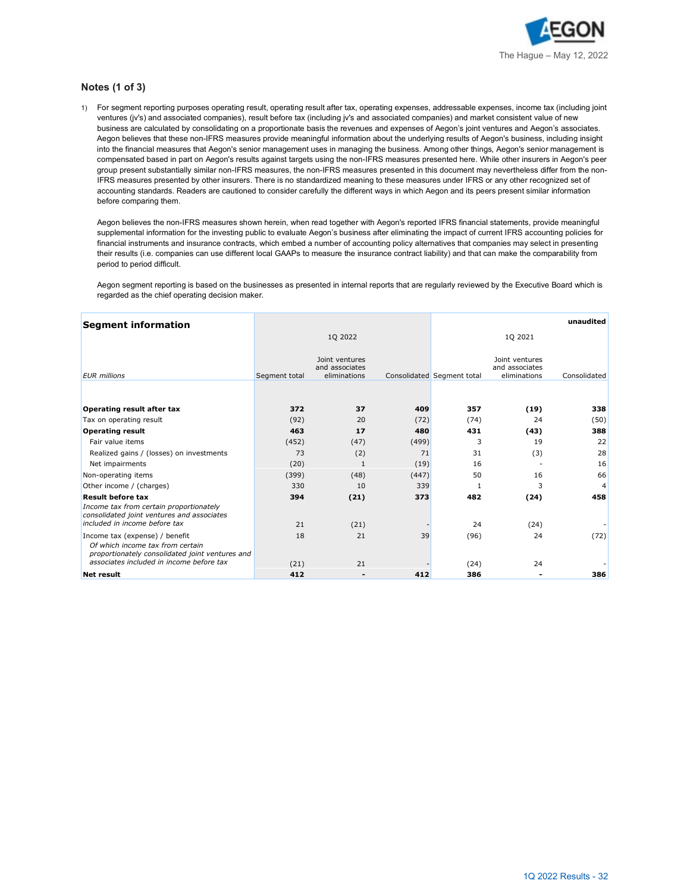

### **Notes (1 of 3)**

1) For segment reporting purposes operating result, operating result after tax, operating expenses, addressable expenses, income tax (including joint ventures (jv's) and associated companies), result before tax (including jv's and associated companies) and market consistent value of new business are calculated by consolidating on a proportionate basis the revenues and expenses of Aegon's joint ventures and Aegon's associates. Aegon believes that these non-IFRS measures provide meaningful information about the underlying results of Aegon's business, including insight into the financial measures that Aegon's senior management uses in managing the business. Among other things, Aegon's senior management is compensated based in part on Aegon's results against targets using the non-IFRS measures presented here. While other insurers in Aegon's peer group present substantially similar non-IFRS measures, the non-IFRS measures presented in this document may nevertheless differ from the non-IFRS measures presented by other insurers. There is no standardized meaning to these measures under IFRS or any other recognized set of accounting standards. Readers are cautioned to consider carefully the different ways in which Aegon and its peers present similar information before comparing them.

Aegon believes the non-IFRS measures shown herein, when read together with Aegon's reported IFRS financial statements, provide meaningful supplemental information for the investing public to evaluate Aegon's business after eliminating the impact of current IFRS accounting policies for financial instruments and insurance contracts, which embed a number of accounting policy alternatives that companies may select in presenting their results (i.e. companies can use different local GAAPs to measure the insurance contract liability) and that can make the comparability from period to period difficult.

Aegon segment reporting is based on the businesses as presented in internal reports that are regularly reviewed by the Executive Board which is regarded as the chief operating decision maker.

| <b>Segment information</b>                                                                                            |               |                                                  |       |                            |                                                  | unaudited      |
|-----------------------------------------------------------------------------------------------------------------------|---------------|--------------------------------------------------|-------|----------------------------|--------------------------------------------------|----------------|
|                                                                                                                       |               | 10 2022                                          |       |                            | 10 2021                                          |                |
| <b>EUR</b> millions                                                                                                   | Segment total | Joint ventures<br>and associates<br>eliminations |       | Consolidated Segment total | Joint ventures<br>and associates<br>eliminations | Consolidated   |
|                                                                                                                       |               |                                                  |       |                            |                                                  |                |
| Operating result after tax                                                                                            | 372           | 37                                               | 409   | 357                        | (19)                                             | 338            |
| Tax on operating result                                                                                               | (92)          | 20                                               | (72)  | (74)                       | 24                                               | (50)           |
| <b>Operating result</b>                                                                                               | 463           | 17                                               | 480   | 431                        | (43)                                             | 388            |
| Fair value items                                                                                                      | (452)         | (47)                                             | (499) | 3                          | 19                                               | 22             |
| Realized gains / (losses) on investments                                                                              | 73            | (2)                                              | 71    | 31                         | (3)                                              | 28             |
| Net impairments                                                                                                       | (20)          | $\mathbf{1}$                                     | (19)  | 16                         |                                                  | 16             |
| Non-operating items                                                                                                   | (399)         | (48)                                             | (447) | 50                         | 16                                               | 66             |
| Other income / (charges)                                                                                              | 330           | 10                                               | 339   | $\mathbf{1}$               | 3                                                | $\overline{4}$ |
| <b>Result before tax</b>                                                                                              | 394           | (21)                                             | 373   | 482                        | (24)                                             | 458            |
| Income tax from certain proportionately<br>consolidated joint ventures and associates                                 |               |                                                  |       |                            |                                                  |                |
| included in income before tax                                                                                         | 21            | (21)                                             |       | 24                         | (24)                                             |                |
| Income tax (expense) / benefit<br>Of which income tax from certain<br>proportionately consolidated joint ventures and | 18            | 21                                               | 39    | (96)                       | 24                                               | (72)           |
| associates included in income before tax                                                                              | (21)          | 21                                               |       | (24)                       | 24                                               |                |
| <b>Net result</b>                                                                                                     | 412           |                                                  | 412   | 386                        |                                                  | 386            |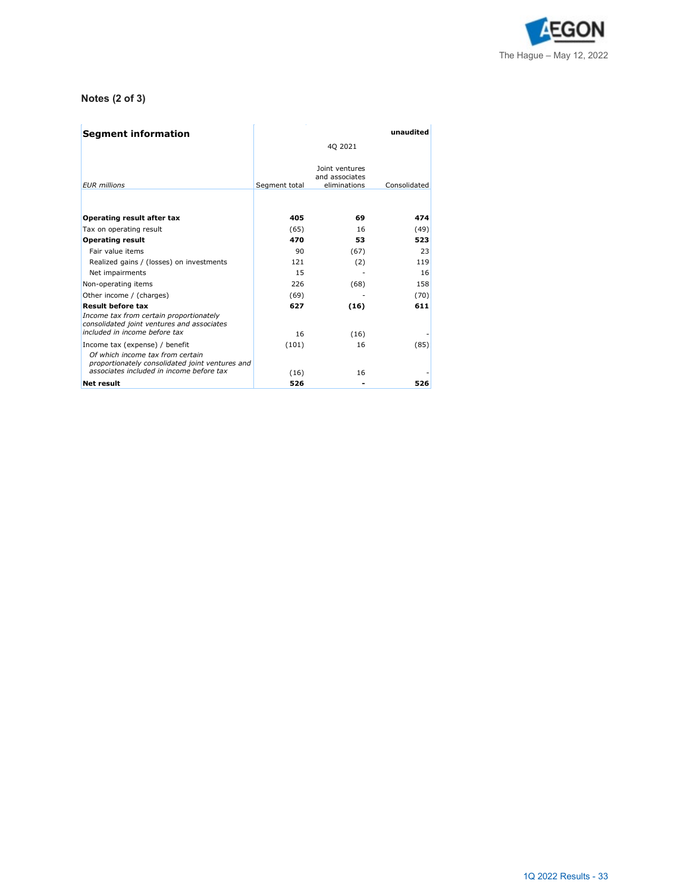

# **Notes (2 of 3)**

| <b>Segment information</b>                                                                                            |               |                                                  | unaudited    |
|-----------------------------------------------------------------------------------------------------------------------|---------------|--------------------------------------------------|--------------|
|                                                                                                                       |               | 40 2021                                          |              |
| <b>EUR</b> millions                                                                                                   | Segment total | Joint ventures<br>and associates<br>eliminations | Consolidated |
|                                                                                                                       |               |                                                  |              |
| Operating result after tax                                                                                            | 405           | 69                                               | 474          |
| Tax on operating result                                                                                               | (65)          | 16                                               | (49)         |
| <b>Operating result</b>                                                                                               | 470           | 53                                               | 523          |
| Fair value items                                                                                                      | 90            | (67)                                             | 23           |
| Realized gains / (losses) on investments                                                                              | 121           | (2)                                              | 119          |
| Net impairments                                                                                                       | 15            |                                                  | 16           |
| Non-operating items                                                                                                   | 226           | (68)                                             | 158          |
| Other income / (charges)                                                                                              | (69)          |                                                  | (70)         |
| <b>Result before tax</b>                                                                                              | 627           | (16)                                             | 611          |
| Income tax from certain proportionately<br>consolidated joint ventures and associates                                 |               |                                                  |              |
| included in income before tax                                                                                         | 16            | (16)                                             |              |
| Income tax (expense) / benefit<br>Of which income tax from certain<br>proportionately consolidated joint ventures and | (101)         | 16                                               | (85)         |
| associates included in income before tax                                                                              | (16)          | 16                                               |              |
| <b>Net result</b>                                                                                                     | 526           |                                                  | 526          |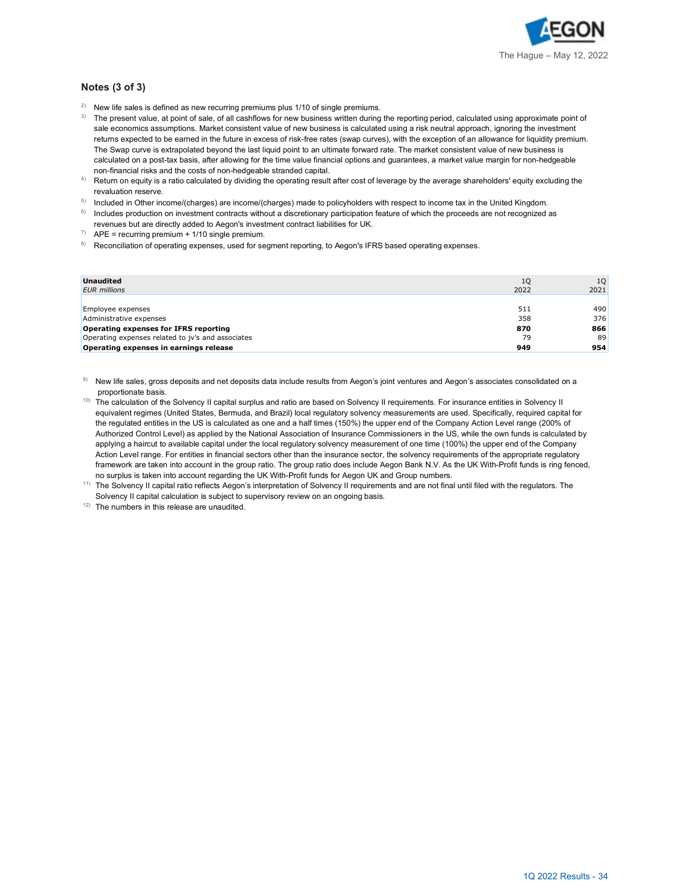

# **Notes (3 of 3)**

- <sup>2)</sup> New life sales is defined as new recurring premiums plus  $1/10$  of single premiums.
- <sup>3)</sup> The present value, at point of sale, of all cashflows for new business written during the reporting period, calculated using approximate point of sale economics assumptions. Market consistent value of new business is calculated using a risk neutral approach, ignoring the investment returns expected to be earned in the future in excess of risk-free rates (swap curves), with the exception of an allowance for liquidity premium. The Swap curve is extrapolated beyond the last liquid point to an ultimate forward rate. The market consistent value of new business is calculated on a post-tax basis, after allowing for the time value financial options and guarantees, a market value margin for non-hedgeable non-financial risks and the costs of non-hedgeable stranded capital.
- <sup>4)</sup> Return on equity is a ratio calculated by dividing the operating result after cost of leverage by the average shareholders' equity excluding the revaluation reserve.
- $5)$  Included in Other income/(charges) are income/(charges) made to policyholders with respect to income tax in the United Kingdom.
- $6)$  Includes production on investment contracts without a discretionary participation feature of which the proceeds are not recognized as revenues but are directly added to Aegon's investment contract liabilities for UK.
- $7$  APE = recurring premium + 1/10 single premium.
- 8) Reconciliation of operating expenses, used for segment reporting, to Aegon's IFRS based operating expenses.

| <b>Unaudited</b>                                  | 10   | 10   |
|---------------------------------------------------|------|------|
| <b>EUR</b> millions                               | 2022 | 2021 |
|                                                   |      |      |
| Employee expenses                                 | 511  | 490  |
| Administrative expenses                           | 358  | 376  |
| Operating expenses for IFRS reporting             | 870  | 866  |
| Operating expenses related to jv's and associates | 79   | 89   |
| Operating expenses in earnings release            | 949  | 954  |

- 9) New life sales, gross deposits and net deposits data include results from Aegon's joint ventures and Aegon's associates consolidated on a proportionate basis.
- <sup>10)</sup> The calculation of the Solvency II capital surplus and ratio are based on Solvency II requirements. For insurance entities in Solvency II equivalent regimes (United States, Bermuda, and Brazil) local regulatory solvency measurements are used. Specifically, required capital for the regulated entities in the US is calculated as one and a half times (150%) the upper end of the Company Action Level range (200% of Authorized Control Level) as applied by the National Association of Insurance Commissioners in the US, while the own funds is calculated by applying a haircut to available capital under the local regulatory solvency measurement of one time (100%) the upper end of the Company Action Level range. For entities in financial sectors other than the insurance sector, the solvency requirements of the appropriate regulatory framework are taken into account in the group ratio. The group ratio does include Aegon Bank N.V. As the UK With-Profit funds is ring fenced, no surplus is taken into account regarding the UK With-Profit funds for Aegon UK and Group numbers.
- <sup>11)</sup> The Solvency II capital ratio reflects Aegon's interpretation of Solvency II requirements and are not final until filed with the regulators. The Solvency II capital calculation is subject to supervisory review on an ongoing basis.<br><sup>12)</sup> The numbers in this release are unaudited.
-